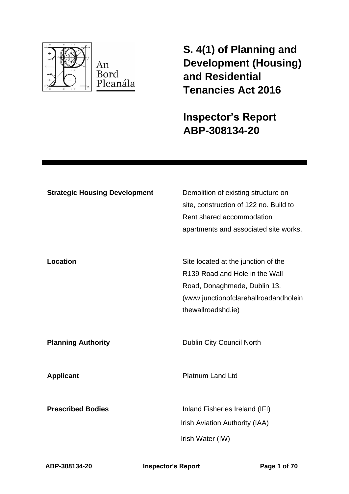

**S. 4(1) of Planning and Development (Housing) and Residential Tenancies Act 2016** 

**Inspector's Report ABP-308134-20**

| <b>Strategic Housing Development</b> | Demolition of existing structure on<br>site, construction of 122 no. Build to<br>Rent shared accommodation<br>apartments and associated site works.                  |
|--------------------------------------|----------------------------------------------------------------------------------------------------------------------------------------------------------------------|
| Location                             | Site located at the junction of the<br>R139 Road and Hole in the Wall<br>Road, Donaghmede, Dublin 13.<br>(www.junctionofclarehallroadandholein<br>thewallroadshd.ie) |
| <b>Planning Authority</b>            | Dublin City Council North                                                                                                                                            |
| <b>Applicant</b>                     | <b>Platnum Land Ltd</b>                                                                                                                                              |
| <b>Prescribed Bodies</b>             | Inland Fisheries Ireland (IFI)<br>Irish Aviation Authority (IAA)<br>Irish Water (IW)                                                                                 |

**ABP-308134-20 Inspector's Report Page 1 of 70**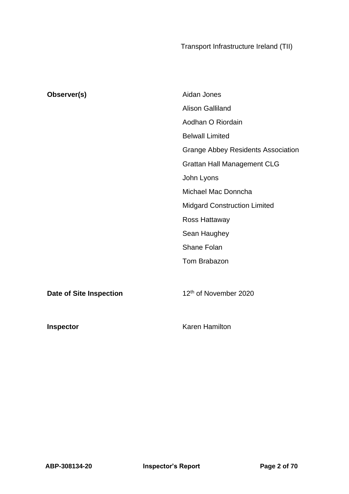# Transport Infrastructure Ireland (TII)

| Observer(s)                    | Aidan Jones                               |
|--------------------------------|-------------------------------------------|
|                                | <b>Alison Galliland</b>                   |
|                                | Aodhan O Riordain                         |
|                                | <b>Belwall Limited</b>                    |
|                                | <b>Grange Abbey Residents Association</b> |
|                                | <b>Grattan Hall Management CLG</b>        |
|                                | John Lyons                                |
|                                | Michael Mac Donncha                       |
|                                | <b>Midgard Construction Limited</b>       |
|                                | Ross Hattaway                             |
|                                | Sean Haughey                              |
|                                | Shane Folan                               |
|                                | Tom Brabazon                              |
|                                |                                           |
| <b>Date of Site Inspection</b> | 12 <sup>th</sup> of November 2020         |
| <b>Inspector</b>               | <b>Karen Hamilton</b>                     |
|                                |                                           |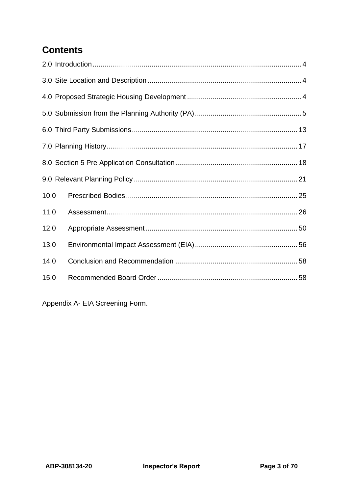# **Contents**

| 10.0 |  |
|------|--|
| 11.0 |  |
| 12.0 |  |
| 13.0 |  |
| 14.0 |  |
| 15.0 |  |

Appendix A- EIA Screening Form.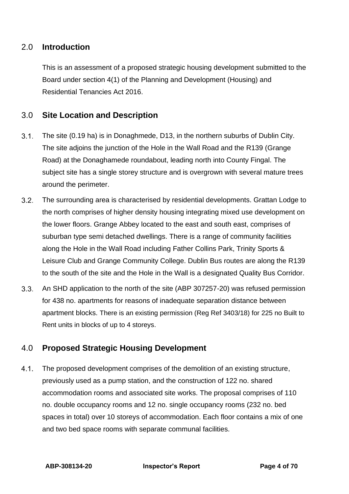# <span id="page-3-0"></span>2.0 **Introduction**

This is an assessment of a proposed strategic housing development submitted to the Board under section 4(1) of the Planning and Development (Housing) and Residential Tenancies Act 2016.

# <span id="page-3-1"></span>3.0 **Site Location and Description**

- $3.1.$ The site (0.19 ha) is in Donaghmede, D13, in the northern suburbs of Dublin City. The site adjoins the junction of the Hole in the Wall Road and the R139 (Grange Road) at the Donaghamede roundabout, leading north into County Fingal. The subject site has a single storey structure and is overgrown with several mature trees around the perimeter.
- $3.2.$ The surrounding area is characterised by residential developments. Grattan Lodge to the north comprises of higher density housing integrating mixed use development on the lower floors. Grange Abbey located to the east and south east, comprises of suburban type semi detached dwellings. There is a range of community facilities along the Hole in the Wall Road including Father Collins Park, Trinity Sports & Leisure Club and Grange Community College. Dublin Bus routes are along the R139 to the south of the site and the Hole in the Wall is a designated Quality Bus Corridor.
- $3.3.$ An SHD application to the north of the site (ABP 307257-20) was refused permission for 438 no. apartments for reasons of inadequate separation distance between apartment blocks. There is an existing permission (Reg Ref 3403/18) for 225 no Built to Rent units in blocks of up to 4 storeys.

# <span id="page-3-2"></span>4.0 **Proposed Strategic Housing Development**

 $4.1.$ The proposed development comprises of the demolition of an existing structure, previously used as a pump station, and the construction of 122 no. shared accommodation rooms and associated site works. The proposal comprises of 110 no. double occupancy rooms and 12 no. single occupancy rooms (232 no. bed spaces in total) over 10 storeys of accommodation. Each floor contains a mix of one and two bed space rooms with separate communal facilities.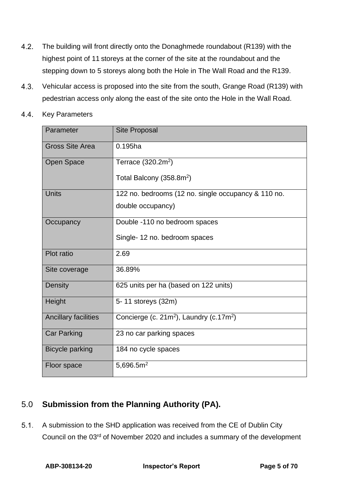- $4.2.$ The building will front directly onto the Donaghmede roundabout (R139) with the highest point of 11 storeys at the corner of the site at the roundabout and the stepping down to 5 storeys along both the Hole in The Wall Road and the R139.
- $4.3.$ Vehicular access is proposed into the site from the south, Grange Road (R139) with pedestrian access only along the east of the site onto the Hole in the Wall Road.
- $4.4.$ Key Parameters

| Parameter              | <b>Site Proposal</b>                                            |
|------------------------|-----------------------------------------------------------------|
| <b>Gross Site Area</b> | 0.195ha                                                         |
| Open Space             | Terrace $(320.2m^2)$                                            |
|                        | Total Balcony (358.8m <sup>2</sup> )                            |
| <b>Units</b>           | 122 no. bedrooms (12 no. single occupancy & 110 no.             |
|                        | double occupancy)                                               |
| Occupancy              | Double -110 no bedroom spaces                                   |
|                        | Single-12 no. bedroom spaces                                    |
| Plot ratio             | 2.69                                                            |
| Site coverage          | 36.89%                                                          |
| Density                | 625 units per ha (based on 122 units)                           |
| Height                 | 5-11 storeys (32m)                                              |
| Ancillary facilities   | Concierge (c. 21m <sup>2</sup> ), Laundry (c.17m <sup>2</sup> ) |
| <b>Car Parking</b>     | 23 no car parking spaces                                        |
| <b>Bicycle parking</b> | 184 no cycle spaces                                             |
| Floor space            | 5,696.5 $m2$                                                    |

# <span id="page-4-0"></span>5.0 **Submission from the Planning Authority (PA).**

 $5.1.$ A submission to the SHD application was received from the CE of Dublin City Council on the 03<sup>rd</sup> of November 2020 and includes a summary of the development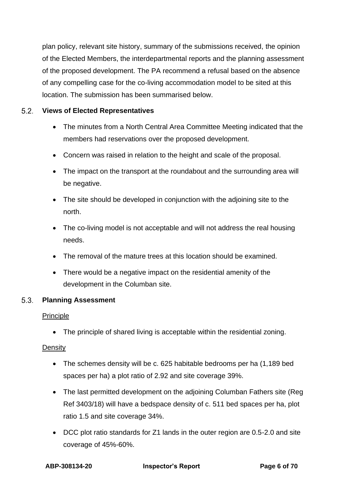plan policy, relevant site history, summary of the submissions received, the opinion of the Elected Members, the interdepartmental reports and the planning assessment of the proposed development. The PA recommend a refusal based on the absence of any compelling case for the co-living accommodation model to be sited at this location. The submission has been summarised below.

#### $5.2.$ **Views of Elected Representatives**

- The minutes from a North Central Area Committee Meeting indicated that the members had reservations over the proposed development.
- Concern was raised in relation to the height and scale of the proposal.
- The impact on the transport at the roundabout and the surrounding area will be negative.
- The site should be developed in conjunction with the adjoining site to the north.
- The co-living model is not acceptable and will not address the real housing needs.
- The removal of the mature trees at this location should be examined.
- There would be a negative impact on the residential amenity of the development in the Columban site.

#### $5.3.$ **Planning Assessment**

### **Principle**

• The principle of shared living is acceptable within the residential zoning.

### **Density**

- The schemes density will be c. 625 habitable bedrooms per ha (1,189 bed spaces per ha) a plot ratio of 2.92 and site coverage 39%.
- The last permitted development on the adjoining Columban Fathers site (Reg Ref 3403/18) will have a bedspace density of c. 511 bed spaces per ha, plot ratio 1.5 and site coverage 34%.
- DCC plot ratio standards for Z1 lands in the outer region are 0.5-2.0 and site coverage of 45%-60%.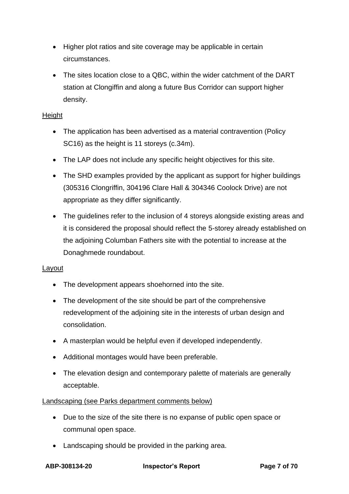- Higher plot ratios and site coverage may be applicable in certain circumstances.
- The sites location close to a QBC, within the wider catchment of the DART station at Clongiffin and along a future Bus Corridor can support higher density.

## **Height**

- The application has been advertised as a material contravention (Policy SC16) as the height is 11 storeys (c.34m).
- The LAP does not include any specific height objectives for this site.
- The SHD examples provided by the applicant as support for higher buildings (305316 Clongriffin, 304196 Clare Hall & 304346 Coolock Drive) are not appropriate as they differ significantly.
- The guidelines refer to the inclusion of 4 storeys alongside existing areas and it is considered the proposal should reflect the 5-storey already established on the adjoining Columban Fathers site with the potential to increase at the Donaghmede roundabout.

### Layout

- The development appears shoehorned into the site.
- The development of the site should be part of the comprehensive redevelopment of the adjoining site in the interests of urban design and consolidation.
- A masterplan would be helpful even if developed independently.
- Additional montages would have been preferable.
- The elevation design and contemporary palette of materials are generally acceptable.

# Landscaping (see Parks department comments below)

- Due to the size of the site there is no expanse of public open space or communal open space.
- Landscaping should be provided in the parking area.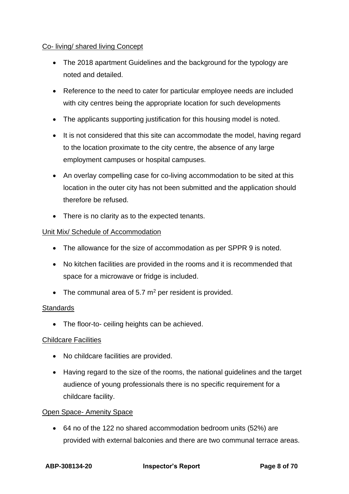## Co- living/ shared living Concept

- The 2018 apartment Guidelines and the background for the typology are noted and detailed.
- Reference to the need to cater for particular employee needs are included with city centres being the appropriate location for such developments
- The applicants supporting justification for this housing model is noted.
- It is not considered that this site can accommodate the model, having regard to the location proximate to the city centre, the absence of any large employment campuses or hospital campuses.
- An overlay compelling case for co-living accommodation to be sited at this location in the outer city has not been submitted and the application should therefore be refused.
- There is no clarity as to the expected tenants.

### Unit Mix/ Schedule of Accommodation

- The allowance for the size of accommodation as per SPPR 9 is noted.
- No kitchen facilities are provided in the rooms and it is recommended that space for a microwave or fridge is included.
- The communal area of 5.7  $m^2$  per resident is provided.

### **Standards**

• The floor-to- ceiling heights can be achieved.

### Childcare Facilities

- No childcare facilities are provided.
- Having regard to the size of the rooms, the national guidelines and the target audience of young professionals there is no specific requirement for a childcare facility.

### Open Space- Amenity Space

• 64 no of the 122 no shared accommodation bedroom units (52%) are provided with external balconies and there are two communal terrace areas.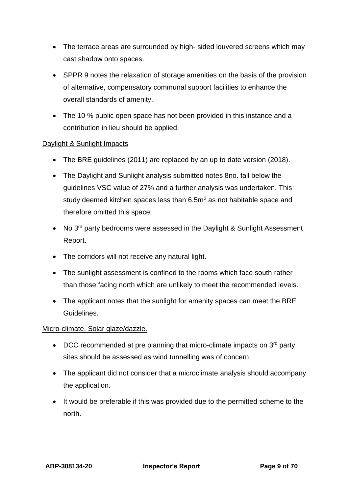- The terrace areas are surrounded by high-sided louvered screens which may cast shadow onto spaces.
- SPPR 9 notes the relaxation of storage amenities on the basis of the provision of alternative, compensatory communal support facilities to enhance the overall standards of amenity.
- The 10 % public open space has not been provided in this instance and a contribution in lieu should be applied.

## Daylight & Sunlight Impacts

- The BRE quidelines (2011) are replaced by an up to date version (2018).
- The Daylight and Sunlight analysis submitted notes 8no. fall below the guidelines VSC value of 27% and a further analysis was undertaken. This study deemed kitchen spaces less than 6.5m<sup>2</sup> as not habitable space and therefore omitted this space
- No 3<sup>rd</sup> party bedrooms were assessed in the Daylight & Sunlight Assessment Report.
- The corridors will not receive any natural light.
- The sunlight assessment is confined to the rooms which face south rather than those facing north which are unlikely to meet the recommended levels.
- The applicant notes that the sunlight for amenity spaces can meet the BRE Guidelines.

### Micro-climate, Solar glaze/dazzle.

- DCC recommended at pre planning that micro-climate impacts on  $3<sup>rd</sup>$  party sites should be assessed as wind tunnelling was of concern.
- The applicant did not consider that a microclimate analysis should accompany the application.
- It would be preferable if this was provided due to the permitted scheme to the north.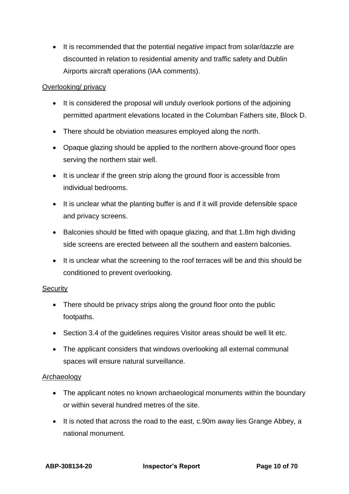• It is recommended that the potential negative impact from solar/dazzle are discounted in relation to residential amenity and traffic safety and Dublin Airports aircraft operations (IAA comments).

## Overlooking/ privacy

- It is considered the proposal will unduly overlook portions of the adjoining permitted apartment elevations located in the Columban Fathers site, Block D.
- There should be obviation measures employed along the north.
- Opaque glazing should be applied to the northern above-ground floor opes serving the northern stair well.
- It is unclear if the green strip along the ground floor is accessible from individual bedrooms.
- It is unclear what the planting buffer is and if it will provide defensible space and privacy screens.
- Balconies should be fitted with opaque glazing, and that 1.8m high dividing side screens are erected between all the southern and eastern balconies.
- It is unclear what the screening to the roof terraces will be and this should be conditioned to prevent overlooking.

### **Security**

- There should be privacy strips along the ground floor onto the public footpaths.
- Section 3.4 of the guidelines requires Visitor areas should be well lit etc.
- The applicant considers that windows overlooking all external communal spaces will ensure natural surveillance.

### Archaeology

- The applicant notes no known archaeological monuments within the boundary or within several hundred metres of the site.
- It is noted that across the road to the east, c.90m away lies Grange Abbey, a national monument.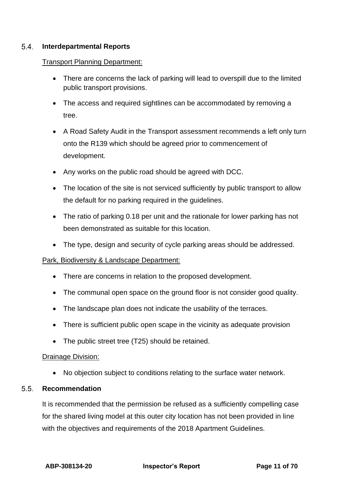#### $5.4$ **Interdepartmental Reports**

### Transport Planning Department:

- There are concerns the lack of parking will lead to overspill due to the limited public transport provisions.
- The access and required sightlines can be accommodated by removing a tree.
- A Road Safety Audit in the Transport assessment recommends a left only turn onto the R139 which should be agreed prior to commencement of development.
- Any works on the public road should be agreed with DCC.
- The location of the site is not serviced sufficiently by public transport to allow the default for no parking required in the guidelines.
- The ratio of parking 0.18 per unit and the rationale for lower parking has not been demonstrated as suitable for this location.
- The type, design and security of cycle parking areas should be addressed.

### Park, Biodiversity & Landscape Department:

- There are concerns in relation to the proposed development.
- The communal open space on the ground floor is not consider good quality.
- The landscape plan does not indicate the usability of the terraces.
- There is sufficient public open scape in the vicinity as adequate provision
- The public street tree (T25) should be retained.

### Drainage Division:

• No objection subject to conditions relating to the surface water network.

#### $5.5.$ **Recommendation**

It is recommended that the permission be refused as a sufficiently compelling case for the shared living model at this outer city location has not been provided in line with the objectives and requirements of the 2018 Apartment Guidelines.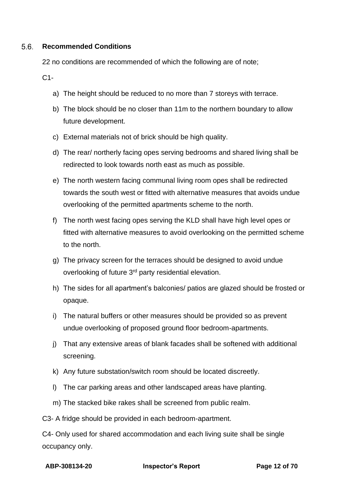#### **Recommended Conditions**   $5.6.$

22 no conditions are recommended of which the following are of note;

 $C<sub>1</sub>$ 

- a) The height should be reduced to no more than 7 storeys with terrace.
- b) The block should be no closer than 11m to the northern boundary to allow future development.
- c) External materials not of brick should be high quality.
- d) The rear/ northerly facing opes serving bedrooms and shared living shall be redirected to look towards north east as much as possible.
- e) The north western facing communal living room opes shall be redirected towards the south west or fitted with alternative measures that avoids undue overlooking of the permitted apartments scheme to the north.
- f) The north west facing opes serving the KLD shall have high level opes or fitted with alternative measures to avoid overlooking on the permitted scheme to the north.
- g) The privacy screen for the terraces should be designed to avoid undue overlooking of future 3<sup>rd</sup> party residential elevation.
- h) The sides for all apartment's balconies/ patios are glazed should be frosted or opaque.
- i) The natural buffers or other measures should be provided so as prevent undue overlooking of proposed ground floor bedroom-apartments.
- j) That any extensive areas of blank facades shall be softened with additional screening.
- k) Any future substation/switch room should be located discreetly.
- l) The car parking areas and other landscaped areas have planting.
- m) The stacked bike rakes shall be screened from public realm.

C3- A fridge should be provided in each bedroom-apartment.

C4- Only used for shared accommodation and each living suite shall be single occupancy only.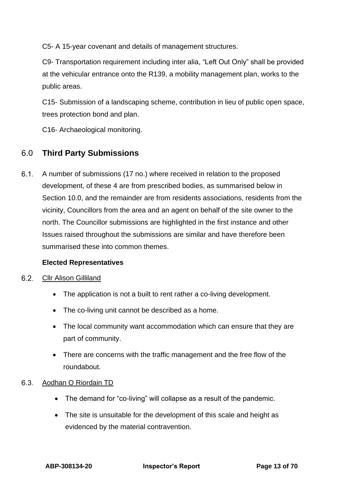C5- A 15-year covenant and details of management structures.

C9- Transportation requirement including inter alia, "Left Out Only" shall be provided at the vehicular entrance onto the R139, a mobility management plan, works to the public areas.

C15- Submission of a landscaping scheme, contribution in lieu of public open space, trees protection bond and plan.

<span id="page-12-0"></span>C16- Archaeological monitoring.

# 6.0 **Third Party Submissions**

 $6.1.$ A number of submissions (17 no.) where received in relation to the proposed development, of these 4 are from prescribed bodies, as summarised below in Section 10.0, and the remainder are from residents associations, residents from the vicinity, Councillors from the area and an agent on behalf of the site owner to the north. The Councillor submissions are highlighted in the first instance and other Issues raised throughout the submissions are similar and have therefore been summarised these into common themes.

# **Elected Representatives**

#### $6.2.$ Cllr Alison Gilliland

- The application is not a built to rent rather a co-living development.
- The co-living unit cannot be described as a home.
- The local community want accommodation which can ensure that they are part of community.
- There are concerns with the traffic management and the free flow of the roundabout.

#### $6.3.$ Aodhan O Riordain TD

- The demand for "co-living" will collapse as a result of the pandemic.
- The site is unsuitable for the development of this scale and height as evidenced by the material contravention.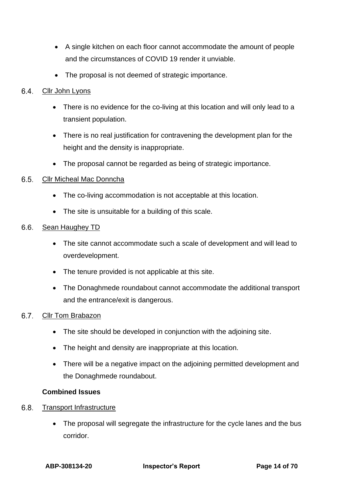- A single kitchen on each floor cannot accommodate the amount of people and the circumstances of COVID 19 render it unviable.
- The proposal is not deemed of strategic importance.

# 6.4. Cllr John Lyons

- There is no evidence for the co-living at this location and will only lead to a transient population.
- There is no real justification for contravening the development plan for the height and the density is inappropriate.
- The proposal cannot be regarded as being of strategic importance.

#### $6.5.$ Cllr Micheal Mac Donncha

- The co-living accommodation is not acceptable at this location.
- The site is unsuitable for a building of this scale.

## 6.6. Sean Haughey TD

- The site cannot accommodate such a scale of development and will lead to overdevelopment.
- The tenure provided is not applicable at this site.
- The Donaghmede roundabout cannot accommodate the additional transport and the entrance/exit is dangerous.

#### $6.7.$ Cllr Tom Brabazon

- The site should be developed in conjunction with the adjoining site.
- The height and density are inappropriate at this location.
- There will be a negative impact on the adjoining permitted development and the Donaghmede roundabout.

### **Combined Issues**

- $6.8.$ Transport Infrastructure
	- The proposal will segregate the infrastructure for the cycle lanes and the bus corridor.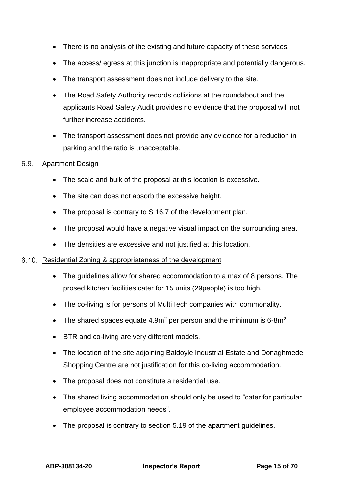- There is no analysis of the existing and future capacity of these services.
- The access/ egress at this junction is inappropriate and potentially dangerous.
- The transport assessment does not include delivery to the site.
- The Road Safety Authority records collisions at the roundabout and the applicants Road Safety Audit provides no evidence that the proposal will not further increase accidents.
- The transport assessment does not provide any evidence for a reduction in parking and the ratio is unacceptable.

#### 6.9. Apartment Design

- The scale and bulk of the proposal at this location is excessive.
- The site can does not absorb the excessive height.
- The proposal is contrary to S 16.7 of the development plan.
- The proposal would have a negative visual impact on the surrounding area.
- The densities are excessive and not justified at this location.

### 6.10. Residential Zoning & appropriateness of the development

- The guidelines allow for shared accommodation to a max of 8 persons. The prosed kitchen facilities cater for 15 units (29people) is too high.
- The co-living is for persons of MultiTech companies with commonality.
- The shared spaces equate  $4.9m^2$  per person and the minimum is 6-8m<sup>2</sup>.
- BTR and co-living are very different models.
- The location of the site adjoining Baldoyle Industrial Estate and Donaghmede Shopping Centre are not justification for this co-living accommodation.
- The proposal does not constitute a residential use.
- The shared living accommodation should only be used to "cater for particular employee accommodation needs".
- The proposal is contrary to section 5.19 of the apartment guidelines.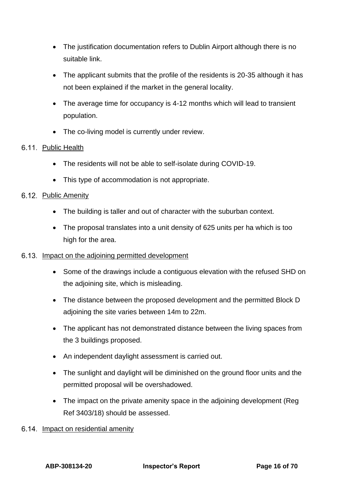- The justification documentation refers to Dublin Airport although there is no suitable link.
- The applicant submits that the profile of the residents is 20-35 although it has not been explained if the market in the general locality.
- The average time for occupancy is 4-12 months which will lead to transient population.
- The co-living model is currently under review.

# 6.11. Public Health

- The residents will not be able to self-isolate during COVID-19.
- This type of accommodation is not appropriate.

# 6.12. Public Amenity

- The building is taller and out of character with the suburban context.
- The proposal translates into a unit density of 625 units per ha which is too high for the area.

# 6.13. Impact on the adjoining permitted development

- Some of the drawings include a contiguous elevation with the refused SHD on the adjoining site, which is misleading.
- The distance between the proposed development and the permitted Block D adjoining the site varies between 14m to 22m.
- The applicant has not demonstrated distance between the living spaces from the 3 buildings proposed.
- An independent daylight assessment is carried out.
- The sunlight and daylight will be diminished on the ground floor units and the permitted proposal will be overshadowed.
- The impact on the private amenity space in the adjoining development (Reg Ref 3403/18) should be assessed.

# 6.14. Impact on residential amenity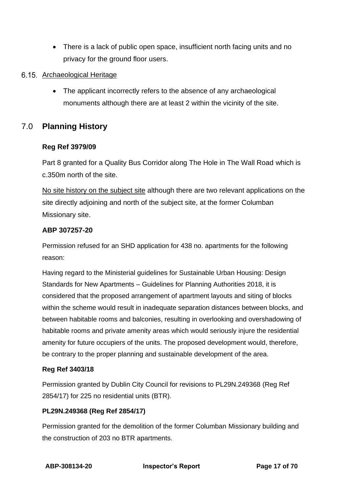• There is a lack of public open space, insufficient north facing units and no privacy for the ground floor users.

## 6.15. Archaeological Heritage

• The applicant incorrectly refers to the absence of any archaeological monuments although there are at least 2 within the vicinity of the site.

# <span id="page-16-0"></span>7.0 **Planning History**

## **Reg Ref 3979/09**

Part 8 granted for a Quality Bus Corridor along The Hole in The Wall Road which is c.350m north of the site.

No site history on the subject site although there are two relevant applications on the site directly adjoining and north of the subject site, at the former Columban Missionary site.

## **ABP 307257-20**

Permission refused for an SHD application for 438 no. apartments for the following reason:

Having regard to the Ministerial guidelines for Sustainable Urban Housing: Design Standards for New Apartments – Guidelines for Planning Authorities 2018, it is considered that the proposed arrangement of apartment layouts and siting of blocks within the scheme would result in inadequate separation distances between blocks, and between habitable rooms and balconies, resulting in overlooking and overshadowing of habitable rooms and private amenity areas which would seriously injure the residential amenity for future occupiers of the units. The proposed development would, therefore, be contrary to the proper planning and sustainable development of the area.

### **Reg Ref 3403/18**

Permission granted by Dublin City Council for revisions to PL29N.249368 (Reg Ref 2854/17) for 225 no residential units (BTR).

# **PL29N.249368 (Reg Ref 2854/17)**

Permission granted for the demolition of the former Columban Missionary building and the construction of 203 no BTR apartments.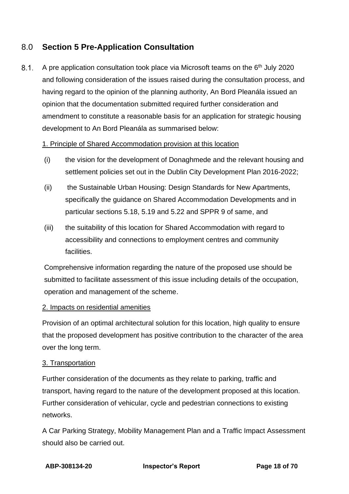# <span id="page-17-0"></span>8.0 **Section 5 Pre-Application Consultation**

 $8.1$ A pre application consultation took place via Microsoft teams on the 6<sup>th</sup> July 2020 and following consideration of the issues raised during the consultation process, and having regard to the opinion of the planning authority, An Bord Pleanála issued an opinion that the documentation submitted required further consideration and amendment to constitute a reasonable basis for an application for strategic housing development to An Bord Pleanála as summarised below:

### 1. Principle of Shared Accommodation provision at this location

- (i) the vision for the development of Donaghmede and the relevant housing and settlement policies set out in the Dublin City Development Plan 2016-2022;
- (ii) the Sustainable Urban Housing: Design Standards for New Apartments, specifically the guidance on Shared Accommodation Developments and in particular sections 5.18, 5.19 and 5.22 and SPPR 9 of same, and
- (iii) the suitability of this location for Shared Accommodation with regard to accessibility and connections to employment centres and community facilities.

Comprehensive information regarding the nature of the proposed use should be submitted to facilitate assessment of this issue including details of the occupation, operation and management of the scheme.

### 2. Impacts on residential amenities

Provision of an optimal architectural solution for this location, high quality to ensure that the proposed development has positive contribution to the character of the area over the long term.

### 3. Transportation

Further consideration of the documents as they relate to parking, traffic and transport, having regard to the nature of the development proposed at this location. Further consideration of vehicular, cycle and pedestrian connections to existing networks.

A Car Parking Strategy, Mobility Management Plan and a Traffic Impact Assessment should also be carried out.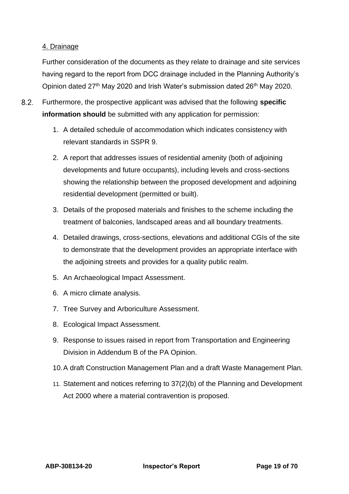## 4. Drainage

Further consideration of the documents as they relate to drainage and site services having regard to the report from DCC drainage included in the Planning Authority's Opinion dated 27<sup>th</sup> May 2020 and Irish Water's submission dated 26<sup>th</sup> May 2020.

- $8.2.$ Furthermore, the prospective applicant was advised that the following **specific information should** be submitted with any application for permission:
	- 1. A detailed schedule of accommodation which indicates consistency with relevant standards in SSPR 9.
	- 2. A report that addresses issues of residential amenity (both of adjoining developments and future occupants), including levels and cross-sections showing the relationship between the proposed development and adjoining residential development (permitted or built).
	- 3. Details of the proposed materials and finishes to the scheme including the treatment of balconies, landscaped areas and all boundary treatments.
	- 4. Detailed drawings, cross-sections, elevations and additional CGIs of the site to demonstrate that the development provides an appropriate interface with the adjoining streets and provides for a quality public realm.
	- 5. An Archaeological Impact Assessment.
	- 6. A micro climate analysis.
	- 7. Tree Survey and Arboriculture Assessment.
	- 8. Ecological Impact Assessment.
	- 9. Response to issues raised in report from Transportation and Engineering Division in Addendum B of the PA Opinion.
	- 10.A draft Construction Management Plan and a draft Waste Management Plan.
	- 11. Statement and notices referring to 37(2)(b) of the Planning and Development Act 2000 where a material contravention is proposed.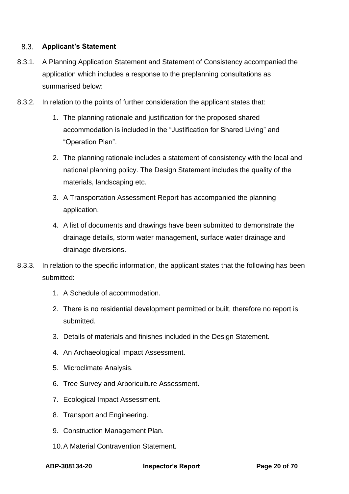#### $8.3.$ **Applicant's Statement**

- 8.3.1. A Planning Application Statement and Statement of Consistency accompanied the application which includes a response to the preplanning consultations as summarised below:
- 8.3.2. In relation to the points of further consideration the applicant states that:
	- 1. The planning rationale and justification for the proposed shared accommodation is included in the "Justification for Shared Living" and "Operation Plan".
	- 2. The planning rationale includes a statement of consistency with the local and national planning policy. The Design Statement includes the quality of the materials, landscaping etc.
	- 3. A Transportation Assessment Report has accompanied the planning application.
	- 4. A list of documents and drawings have been submitted to demonstrate the drainage details, storm water management, surface water drainage and drainage diversions.
- 8.3.3. In relation to the specific information, the applicant states that the following has been submitted:
	- 1. A Schedule of accommodation.
	- 2. There is no residential development permitted or built, therefore no report is submitted.
	- 3. Details of materials and finishes included in the Design Statement.
	- 4. An Archaeological Impact Assessment.
	- 5. Microclimate Analysis.
	- 6. Tree Survey and Arboriculture Assessment.
	- 7. Ecological Impact Assessment.
	- 8. Transport and Engineering.
	- 9. Construction Management Plan.
	- 10.A Material Contravention Statement.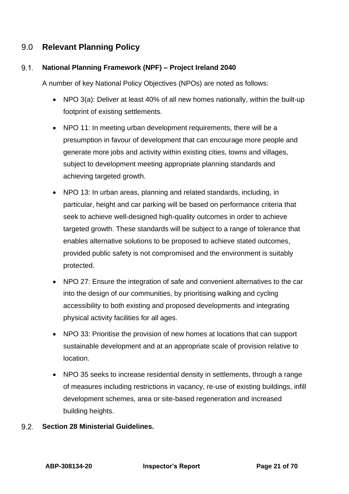# <span id="page-20-0"></span>9.0 **Relevant Planning Policy**

#### $9.1$ **National Planning Framework (NPF) – Project Ireland 2040**

A number of key National Policy Objectives (NPOs) are noted as follows:

- NPO 3(a): Deliver at least 40% of all new homes nationally, within the built-up footprint of existing settlements.
- NPO 11: In meeting urban development requirements, there will be a presumption in favour of development that can encourage more people and generate more jobs and activity within existing cities, towns and villages, subject to development meeting appropriate planning standards and achieving targeted growth.
- NPO 13: In urban areas, planning and related standards, including, in particular, height and car parking will be based on performance criteria that seek to achieve well-designed high-quality outcomes in order to achieve targeted growth. These standards will be subject to a range of tolerance that enables alternative solutions to be proposed to achieve stated outcomes, provided public safety is not compromised and the environment is suitably protected.
- NPO 27: Ensure the integration of safe and convenient alternatives to the car into the design of our communities, by prioritising walking and cycling accessibility to both existing and proposed developments and integrating physical activity facilities for all ages.
- NPO 33: Prioritise the provision of new homes at locations that can support sustainable development and at an appropriate scale of provision relative to location.
- NPO 35 seeks to increase residential density in settlements, through a range of measures including restrictions in vacancy, re-use of existing buildings, infill development schemes, area or site-based regeneration and increased building heights.
- $9.2.$ **Section 28 Ministerial Guidelines.**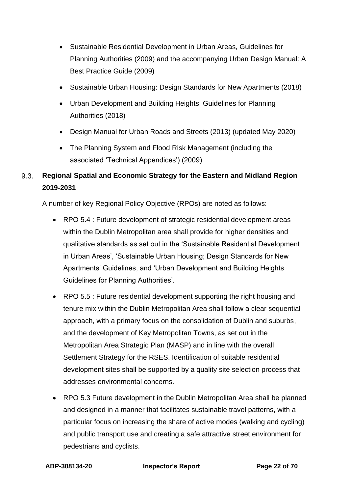- Sustainable Residential Development in Urban Areas, Guidelines for Planning Authorities (2009) and the accompanying Urban Design Manual: A Best Practice Guide (2009)
- Sustainable Urban Housing: Design Standards for New Apartments (2018)
- Urban Development and Building Heights, Guidelines for Planning Authorities (2018)
- Design Manual for Urban Roads and Streets (2013) (updated May 2020)
- The Planning System and Flood Risk Management (including the associated 'Technical Appendices') (2009)

### $9.3.$ **Regional Spatial and Economic Strategy for the Eastern and Midland Region 2019-2031**

A number of key Regional Policy Objective (RPOs) are noted as follows:

- RPO 5.4 : Future development of strategic residential development areas within the Dublin Metropolitan area shall provide for higher densities and qualitative standards as set out in the 'Sustainable Residential Development in Urban Areas', 'Sustainable Urban Housing; Design Standards for New Apartments' Guidelines, and 'Urban Development and Building Heights Guidelines for Planning Authorities'.
- RPO 5.5 : Future residential development supporting the right housing and tenure mix within the Dublin Metropolitan Area shall follow a clear sequential approach, with a primary focus on the consolidation of Dublin and suburbs, and the development of Key Metropolitan Towns, as set out in the Metropolitan Area Strategic Plan (MASP) and in line with the overall Settlement Strategy for the RSES. Identification of suitable residential development sites shall be supported by a quality site selection process that addresses environmental concerns.
- RPO 5.3 Future development in the Dublin Metropolitan Area shall be planned and designed in a manner that facilitates sustainable travel patterns, with a particular focus on increasing the share of active modes (walking and cycling) and public transport use and creating a safe attractive street environment for pedestrians and cyclists.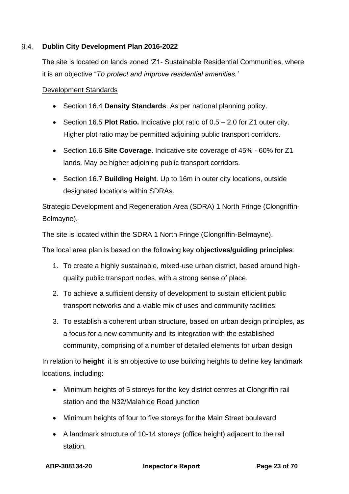#### 9.4 **Dublin City Development Plan 2016-2022**

The site is located on lands zoned 'Z1- Sustainable Residential Communities, where it is an objective "*To protect and improve residential amenities.'*

## Development Standards

- Section 16.4 **Density Standards**. As per national planning policy.
- Section 16.5 **Plot Ratio.** Indicative plot ratio of 0.5 2.0 for Z1 outer city. Higher plot ratio may be permitted adjoining public transport corridors.
- Section 16.6 **Site Coverage**. Indicative site coverage of 45% 60% for Z1 lands. May be higher adjoining public transport corridors.
- Section 16.7 **Building Height**. Up to 16m in outer city locations, outside designated locations within SDRAs.

Strategic Development and Regeneration Area (SDRA) 1 North Fringe (Clongriffin-Belmayne).

The site is located within the SDRA 1 North Fringe (Clongriffin-Belmayne).

The local area plan is based on the following key **objectives/guiding principles**:

- 1. To create a highly sustainable, mixed-use urban district, based around highquality public transport nodes, with a strong sense of place.
- 2. To achieve a sufficient density of development to sustain efficient public transport networks and a viable mix of uses and community facilities.
- 3. To establish a coherent urban structure, based on urban design principles, as a focus for a new community and its integration with the established community, comprising of a number of detailed elements for urban design

In relation to **height** it is an objective to use building heights to define key landmark locations, including:

- Minimum heights of 5 storeys for the key district centres at Clongriffin rail station and the N32/Malahide Road junction
- Minimum heights of four to five storeys for the Main Street boulevard
- A landmark structure of 10-14 storeys (office height) adjacent to the rail station.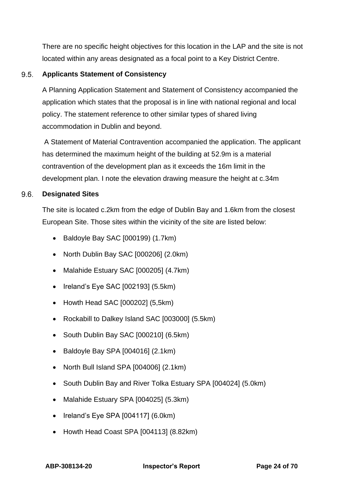There are no specific height objectives for this location in the LAP and the site is not located within any areas designated as a focal point to a Key District Centre.

#### 9.5. **Applicants Statement of Consistency**

A Planning Application Statement and Statement of Consistency accompanied the application which states that the proposal is in line with national regional and local policy. The statement reference to other similar types of shared living accommodation in Dublin and beyond.

A Statement of Material Contravention accompanied the application. The applicant has determined the maximum height of the building at 52.9m is a material contravention of the development plan as it exceeds the 16m limit in the development plan. I note the elevation drawing measure the height at c.34m

#### $9.6.$ **Designated Sites**

The site is located c.2km from the edge of Dublin Bay and 1.6km from the closest European Site. Those sites within the vicinity of the site are listed below:

- Baldoyle Bay SAC [000199) (1.7km)
- North Dublin Bay SAC [000206] (2.0km)
- Malahide Estuary SAC [000205] (4.7km)
- Ireland's Eye SAC [002193] (5.5km)
- Howth Head SAC [000202] (5,5km)
- Rockabill to Dalkey Island SAC [003000] (5.5km)
- South Dublin Bay SAC [000210] (6.5km)
- Baldoyle Bay SPA [004016] (2.1km)
- North Bull Island SPA [004006] (2.1km)
- South Dublin Bay and River Tolka Estuary SPA [004024] (5.0km)
- Malahide Estuary SPA [004025] (5.3km)
- Ireland's Eye SPA [004117] (6.0km)
- Howth Head Coast SPA [004113] (8.82km)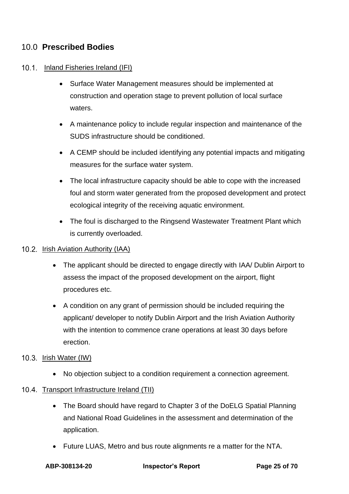# <span id="page-24-0"></span>10.0 **Prescribed Bodies**

## 10.1. Inland Fisheries Ireland (IFI)

- Surface Water Management measures should be implemented at construction and operation stage to prevent pollution of local surface waters.
- A maintenance policy to include regular inspection and maintenance of the SUDS infrastructure should be conditioned.
- A CEMP should be included identifying any potential impacts and mitigating measures for the surface water system.
- The local infrastructure capacity should be able to cope with the increased foul and storm water generated from the proposed development and protect ecological integrity of the receiving aquatic environment.
- The foul is discharged to the Ringsend Wastewater Treatment Plant which is currently overloaded.

## 10.2. Irish Aviation Authority (IAA)

- The applicant should be directed to engage directly with IAA/ Dublin Airport to assess the impact of the proposed development on the airport, flight procedures etc.
- A condition on any grant of permission should be included requiring the applicant/ developer to notify Dublin Airport and the Irish Aviation Authority with the intention to commence crane operations at least 30 days before erection.

# 10.3. Irish Water (IW)

• No objection subject to a condition requirement a connection agreement.

# 10.4. Transport Infrastructure Ireland (TII)

- The Board should have regard to Chapter 3 of the DoELG Spatial Planning and National Road Guidelines in the assessment and determination of the application.
- Future LUAS, Metro and bus route alignments re a matter for the NTA.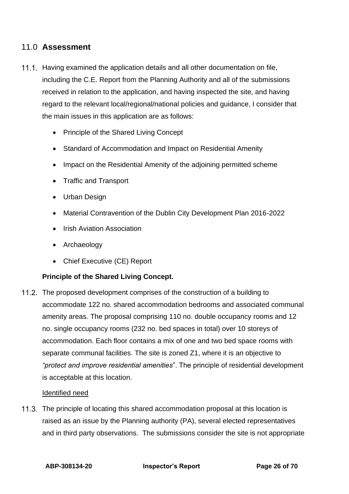# <span id="page-25-0"></span>11.0 **Assessment**

- 11.1. Having examined the application details and all other documentation on file, including the C.E. Report from the Planning Authority and all of the submissions received in relation to the application, and having inspected the site, and having regard to the relevant local/regional/national policies and guidance, I consider that the main issues in this application are as follows:
	- Principle of the Shared Living Concept
	- Standard of Accommodation and Impact on Residential Amenity
	- Impact on the Residential Amenity of the adjoining permitted scheme
	- Traffic and Transport
	- Urban Design
	- Material Contravention of the Dublin City Development Plan 2016-2022
	- Irish Aviation Association
	- Archaeology
	- Chief Executive (CE) Report

# **Principle of the Shared Living Concept.**

11.2. The proposed development comprises of the construction of a building to accommodate 122 no. shared accommodation bedrooms and associated communal amenity areas. The proposal comprising 110 no. double occupancy rooms and 12 no. single occupancy rooms (232 no. bed spaces in total) over 10 storeys of accommodation. Each floor contains a mix of one and two bed space rooms with separate communal facilities. The site is zoned Z1, where it is an objective to *"protect and improve residential amenities*". The principle of residential development is acceptable at this location.

# Identified need

11.3. The principle of locating this shared accommodation proposal at this location is raised as an issue by the Planning authority (PA), several elected representatives and in third party observations. The submissions consider the site is not appropriate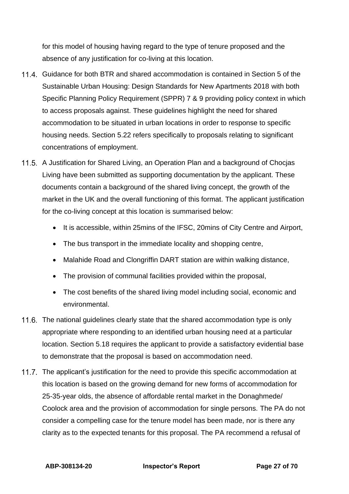for this model of housing having regard to the type of tenure proposed and the absence of any justification for co-living at this location.

- 11.4. Guidance for both BTR and shared accommodation is contained in Section 5 of the Sustainable Urban Housing: Design Standards for New Apartments 2018 with both Specific Planning Policy Requirement (SPPR) 7 & 9 providing policy context in which to access proposals against. These guidelines highlight the need for shared accommodation to be situated in urban locations in order to response to specific housing needs. Section 5.22 refers specifically to proposals relating to significant concentrations of employment.
- 11.5. A Justification for Shared Living, an Operation Plan and a background of Chocjas Living have been submitted as supporting documentation by the applicant. These documents contain a background of the shared living concept, the growth of the market in the UK and the overall functioning of this format. The applicant justification for the co-living concept at this location is summarised below:
	- It is accessible, within 25mins of the IFSC, 20mins of City Centre and Airport,
	- The bus transport in the immediate locality and shopping centre,
	- Malahide Road and Clongriffin DART station are within walking distance,
	- The provision of communal facilities provided within the proposal,
	- The cost benefits of the shared living model including social, economic and environmental.
- 11.6. The national guidelines clearly state that the shared accommodation type is only appropriate where responding to an identified urban housing need at a particular location. Section 5.18 requires the applicant to provide a satisfactory evidential base to demonstrate that the proposal is based on accommodation need.
- 11.7. The applicant's justification for the need to provide this specific accommodation at this location is based on the growing demand for new forms of accommodation for 25-35-year olds, the absence of affordable rental market in the Donaghmede/ Coolock area and the provision of accommodation for single persons. The PA do not consider a compelling case for the tenure model has been made, nor is there any clarity as to the expected tenants for this proposal. The PA recommend a refusal of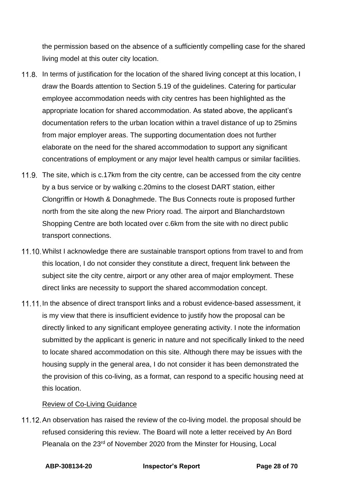the permission based on the absence of a sufficiently compelling case for the shared living model at this outer city location.

- 11.8. In terms of justification for the location of the shared living concept at this location, I draw the Boards attention to Section 5.19 of the guidelines. Catering for particular employee accommodation needs with city centres has been highlighted as the appropriate location for shared accommodation. As stated above, the applicant's documentation refers to the urban location within a travel distance of up to 25mins from major employer areas. The supporting documentation does not further elaborate on the need for the shared accommodation to support any significant concentrations of employment or any major level health campus or similar facilities.
- 11.9. The site, which is c.17km from the city centre, can be accessed from the city centre by a bus service or by walking c.20mins to the closest DART station, either Clongriffin or Howth & Donaghmede. The Bus Connects route is proposed further north from the site along the new Priory road. The airport and Blanchardstown Shopping Centre are both located over c.6km from the site with no direct public transport connections.
- Whilst I acknowledge there are sustainable transport options from travel to and from this location, I do not consider they constitute a direct, frequent link between the subject site the city centre, airport or any other area of major employment. These direct links are necessity to support the shared accommodation concept.
- 11.11. In the absence of direct transport links and a robust evidence-based assessment, it is my view that there is insufficient evidence to justify how the proposal can be directly linked to any significant employee generating activity. I note the information submitted by the applicant is generic in nature and not specifically linked to the need to locate shared accommodation on this site. Although there may be issues with the housing supply in the general area, I do not consider it has been demonstrated the the provision of this co-living, as a format, can respond to a specific housing need at this location.

### Review of Co-Living Guidance

11.12. An observation has raised the review of the co-living model. the proposal should be refused considering this review. The Board will note a letter received by An Bord Pleanala on the 23<sup>rd</sup> of November 2020 from the Minster for Housing, Local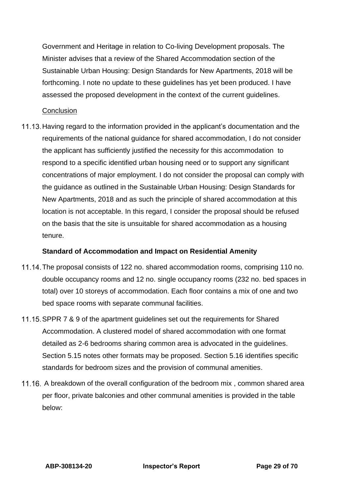Government and Heritage in relation to Co-living Development proposals. The Minister advises that a review of the Shared Accommodation section of the Sustainable Urban Housing: Design Standards for New Apartments, 2018 will be forthcoming. I note no update to these guidelines has yet been produced. I have assessed the proposed development in the context of the current guidelines.

## **Conclusion**

11.13. Having regard to the information provided in the applicant's documentation and the requirements of the national guidance for shared accommodation, I do not consider the applicant has sufficiently justified the necessity for this accommodation to respond to a specific identified urban housing need or to support any significant concentrations of major employment. I do not consider the proposal can comply with the guidance as outlined in the Sustainable Urban Housing: Design Standards for New Apartments, 2018 and as such the principle of shared accommodation at this location is not acceptable. In this regard, I consider the proposal should be refused on the basis that the site is unsuitable for shared accommodation as a housing tenure.

# **Standard of Accommodation and Impact on Residential Amenity**

- The proposal consists of 122 no. shared accommodation rooms, comprising 110 no. double occupancy rooms and 12 no. single occupancy rooms (232 no. bed spaces in total) over 10 storeys of accommodation. Each floor contains a mix of one and two bed space rooms with separate communal facilities.
- 11.15. SPPR 7 & 9 of the apartment quidelines set out the requirements for Shared Accommodation. A clustered model of shared accommodation with one format detailed as 2-6 bedrooms sharing common area is advocated in the guidelines. Section 5.15 notes other formats may be proposed. Section 5.16 identifies specific standards for bedroom sizes and the provision of communal amenities.
- 11.16. A breakdown of the overall configuration of the bedroom mix, common shared area per floor, private balconies and other communal amenities is provided in the table below: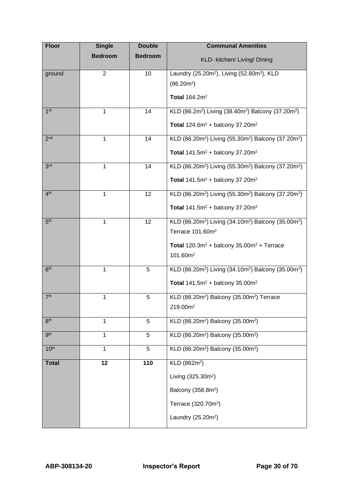| <b>Floor</b>     | <b>Single</b>  | <b>Double</b>     | <b>Communal Amenities</b>                                                               |
|------------------|----------------|-------------------|-----------------------------------------------------------------------------------------|
|                  | <b>Bedroom</b> | <b>Bedroom</b>    | KLD- kitchen/ Living/ Dining                                                            |
| ground           | $\overline{2}$ | 10                | Laundry (25.20m <sup>2</sup> ), Living (52.80m <sup>2</sup> ), KLD                      |
|                  |                |                   | (86.20m <sup>2</sup> )                                                                  |
|                  |                |                   | Total 164.2m <sup>2</sup>                                                               |
| 1 <sup>st</sup>  | 1              | 14                | KLD (86.2m <sup>2</sup> ) Living (38.40m <sup>2</sup> ) Balcony (37.20m <sup>2</sup> )  |
|                  |                |                   | <b>Total</b> 124.6m <sup>2</sup> + balcony 37.20m <sup>2</sup>                          |
| 2 <sub>nd</sub>  | 1              | 14                | KLD (86.20m <sup>2</sup> ) Living (55.30m <sup>2</sup> ) Balcony (37.20m <sup>2</sup> ) |
|                  |                |                   | <b>Total</b> 141.5 $m^2$ + balcony 37.20 $m^2$                                          |
| 3 <sup>rd</sup>  | 1              | 14                | KLD (86.20m <sup>2</sup> ) Living (55.30m <sup>2</sup> ) Balcony (37.20m <sup>2</sup> ) |
|                  |                |                   | <b>Total</b> 141.5 $m^2$ + balcony 37.20 $m^2$                                          |
| 4 <sup>th</sup>  | 1              | 12                | KLD (86.20m <sup>2</sup> ) Living (55.30m <sup>2</sup> ) Balcony (37.20m <sup>2</sup> ) |
|                  |                |                   | <b>Total</b> 141.5m <sup>2</sup> + balcony 37.20m <sup>2</sup>                          |
| 5 <sup>th</sup>  | 1              | 12                | KLD (86.20m <sup>2</sup> ) Living (34.10m <sup>2</sup> ) Balcony (35.00m <sup>2</sup> ) |
|                  |                |                   | Terrace 101.60m <sup>2</sup>                                                            |
|                  |                |                   | Total $120.3m^2$ + balcony $35.00m^2$ + Terrace                                         |
|                  |                |                   | 101.60m <sup>2</sup>                                                                    |
| 6 <sup>th</sup>  | 1              | 5                 | KLD (86.20m <sup>2</sup> ) Living (34.10m <sup>2</sup> ) Balcony (35.00m <sup>2</sup> ) |
|                  |                |                   | <b>Total</b> 141.5 $m^2$ + balcony 35.00 $m^2$                                          |
| 7 <sup>th</sup>  | 1              | 5                 | KLD (86.20m <sup>2</sup> ) Balcony (35.00m <sup>2</sup> ) Terrace                       |
|                  |                |                   | 219.00m <sup>2</sup>                                                                    |
| 8 <sup>th</sup>  | 1              | 5                 | KLD (86.20m <sup>2</sup> ) Balcony (35.00m <sup>2</sup> )                               |
| <b>gth</b>       | 1              | 5                 | KLD (86.20m <sup>2</sup> ) Balcony (35.00m <sup>2</sup> )                               |
| 10 <sup>th</sup> | 1              | 5                 | KLD (86.20m <sup>2</sup> ) Balcony (35.00m <sup>2</sup> )                               |
| <b>Total</b>     | 12             | $\frac{110}{110}$ | KLD (862m <sup>2</sup> )                                                                |
|                  |                |                   | Living (325.30m <sup>2</sup> )                                                          |
|                  |                |                   | Balcony (358.8m <sup>2</sup> )                                                          |
|                  |                |                   | Terrace (320.70m <sup>2</sup> )                                                         |
|                  |                |                   | Laundry (25.20m <sup>2</sup> )                                                          |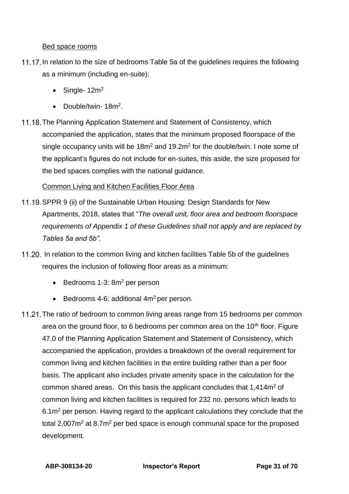## Bed space rooms

- 11.17. In relation to the size of bedrooms Table 5a of the quidelines requires the following as a minimum (including en-suite):
	- Single-  $12m^2$
	- Double/twin- 18m<sup>2</sup>.
- 11.18. The Planning Application Statement and Statement of Consistency, which accompanied the application, states that the minimum proposed floorspace of the single occupancy units will be  $18m^2$  and  $19.2m^2$  for the double/twin. I note some of the applicant's figures do not include for en-suites, this aside, the size proposed for the bed spaces complies with the national guidance.

## Common Living and Kitchen Facilities Floor Area

- 11.19. SPPR 9 (ii) of the Sustainable Urban Housing: Design Standards for New Apartments, 2018, states that "*The overall unit, floor area and bedroom floorspace requirements of Appendix 1 of these Guidelines shall not apply and are replaced by Tables 5a and 5b".*
- 11.20. In relation to the common living and kitchen facilities Table 5b of the quidelines requires the inclusion of following floor areas as a minimum:
	- Bedrooms  $1-3$ :  $8m^2$  per person
	- Bedrooms 4-6: additional  $4m^2$  per person.
- 11.21. The ratio of bedroom to common living areas range from 15 bedrooms per common area on the ground floor, to 6 bedrooms per common area on the 10<sup>th</sup> floor. Figure 47.0 of the Planning Application Statement and Statement of Consistency, which accompanied the application, provides a breakdown of the overall requirement for common living and kitchen facilities in the entire building rather than a per floor basis. The applicant also includes private amenity space in the calculation for the common shared areas. On this basis the applicant concludes that 1,414m<sup>2</sup> of common living and kitchen facilities is required for 232 no. persons which leads to  $6.1\,\mathrm{m}^2$  per person. Having regard to the applicant calculations they conclude that the total 2,007m<sup>2</sup> at 8.7m<sup>2</sup> per bed space is enough communal space for the proposed development.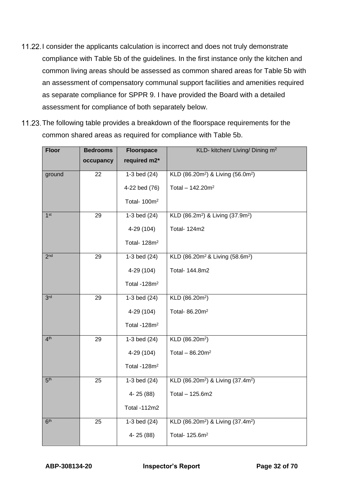- 11.22. I consider the applicants calculation is incorrect and does not truly demonstrate compliance with Table 5b of the guidelines. In the first instance only the kitchen and common living areas should be assessed as common shared areas for Table 5b with an assessment of compensatory communal support facilities and amenities required as separate compliance for SPPR 9. I have provided the Board with a detailed assessment for compliance of both separately below.
- 11.23. The following table provides a breakdown of the floorspace requirements for the common shared areas as required for compliance with Table 5b.

| <b>Floor</b>    | <b>Bedrooms</b> | <b>Floorspace</b>        | KLD- kitchen/ Living/ Dining m <sup>2</sup>               |
|-----------------|-----------------|--------------------------|-----------------------------------------------------------|
|                 | occupancy       | required m2*             |                                                           |
| ground          | 22              | 1-3 bed $(24)$           | KLD (86.20m <sup>2</sup> ) & Living (56.0m <sup>2</sup> ) |
|                 |                 | 4-22 bed (76)            | Total $- 142.20 m2$                                       |
|                 |                 | Total- 100m <sup>2</sup> |                                                           |
| 1 <sup>st</sup> | 29              | 1-3 bed $(24)$           | KLD (86.2m <sup>2</sup> ) & Living (37.9m <sup>2</sup> )  |
|                 |                 | 4-29 (104)               | Total- 124m2                                              |
|                 |                 | Total- 128m <sup>2</sup> |                                                           |
| 2 <sub>nd</sub> | $\overline{29}$ | 1-3 bed (24)             | KLD (86.20m <sup>2</sup> & Living (58.6m <sup>2</sup> )   |
|                 |                 | 4-29 (104)               | Total- 144.8m2                                            |
|                 |                 | Total -128 $m2$          |                                                           |
| 3 <sup>rd</sup> | 29              | 1-3 bed $(24)$           | KLD (86.20m <sup>2</sup> )                                |
|                 |                 | 4-29 (104)               | Total- 86.20m <sup>2</sup>                                |
|                 |                 | Total -128 $m2$          |                                                           |
| 4 <sup>th</sup> | $\overline{29}$ | $1-3$ bed $(24)$         | KLD (86.20m <sup>2</sup> )                                |
|                 |                 | 4-29 (104)               | Total $-86.20m^2$                                         |
|                 |                 | Total -128 $m2$          |                                                           |
| 5 <sup>th</sup> | 25              | 1-3 bed (24)             | KLD (86.20m <sup>2</sup> ) & Living (37.4m <sup>2</sup> ) |
|                 |                 | $4 - 25(88)$             | Total - 125.6m2                                           |
|                 |                 | Total -112m2             |                                                           |
| 6 <sup>th</sup> | 25              | 1-3 bed (24)             | KLD (86.20m <sup>2</sup> ) & Living (37.4m <sup>2</sup> ) |
|                 |                 | 4-25 (88)                | Total- 125.6m <sup>2</sup>                                |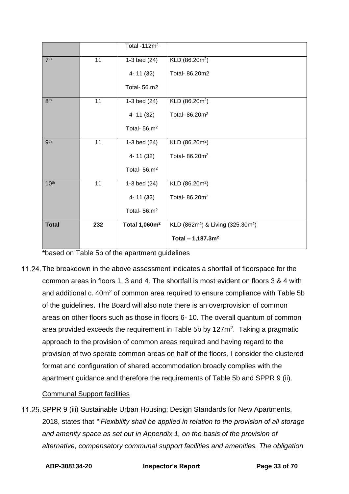|                  |     | Total -112 $m2$           |                                                           |
|------------------|-----|---------------------------|-----------------------------------------------------------|
| 7 <sup>th</sup>  | 11  | 1-3 bed (24)              | KLD (86.20m <sup>2</sup> )                                |
|                  |     | 4-11 (32)                 | Total- 86.20m2                                            |
|                  |     | Total- 56.m2              |                                                           |
| 8 <sup>th</sup>  | 11  | 1-3 bed (24)              | KLD (86.20m <sup>2</sup> )                                |
|                  |     | 4-11 (32)                 | Total- 86.20m <sup>2</sup>                                |
|                  |     | Total- $56.m2$            |                                                           |
| gth              | 11  | 1-3 bed (24)              | KLD (86.20m <sup>2</sup> )                                |
|                  |     | 4-11 (32)                 | Total-86.20m <sup>2</sup>                                 |
|                  |     | Total- $56.m2$            |                                                           |
| 10 <sup>th</sup> | 11  | 1-3 bed (24)              | KLD (86.20m <sup>2</sup> )                                |
|                  |     | 4-11 (32)                 | Total- 86.20m <sup>2</sup>                                |
|                  |     | Total- $56.m2$            |                                                           |
| <b>Total</b>     | 232 | Total 1,060m <sup>2</sup> | KLD (862m <sup>2</sup> ) & Living (325.30m <sup>2</sup> ) |
|                  |     |                           | Total - $1,187.3m^2$                                      |

\*based on Table 5b of the apartment guidelines

11.24. The breakdown in the above assessment indicates a shortfall of floorspace for the common areas in floors 1, 3 and 4. The shortfall is most evident on floors 3 & 4 with and additional c. 40m<sup>2</sup> of common area required to ensure compliance with Table 5b of the guidelines. The Board will also note there is an overprovision of common areas on other floors such as those in floors 6- 10. The overall quantum of common area provided exceeds the requirement in Table 5b by  $127m^2$ . Taking a pragmatic approach to the provision of common areas required and having regard to the provision of two sperate common areas on half of the floors, I consider the clustered format and configuration of shared accommodation broadly complies with the apartment guidance and therefore the requirements of Table 5b and SPPR 9 (ii).

# Communal Support facilities

11.25. SPPR 9 (iii) Sustainable Urban Housing: Design Standards for New Apartments, 2018, states that *" Flexibility shall be applied in relation to the provision of all storage and amenity space as set out in Appendix 1, on the basis of the provision of alternative, compensatory communal support facilities and amenities. The obligation*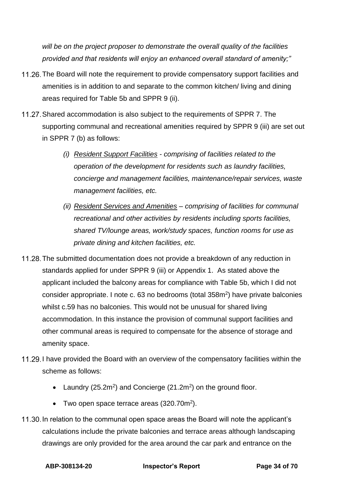*will be on the project proposer to demonstrate the overall quality of the facilities provided and that residents will enjoy an enhanced overall standard of amenity;"*

- 11.26. The Board will note the requirement to provide compensatory support facilities and amenities is in addition to and separate to the common kitchen/ living and dining areas required for Table 5b and SPPR 9 (ii).
- 11.27. Shared accommodation is also subject to the requirements of SPPR 7. The supporting communal and recreational amenities required by SPPR 9 (iii) are set out in SPPR 7 (b) as follows:
	- *(i) Resident Support Facilities - comprising of facilities related to the operation of the development for residents such as laundry facilities, concierge and management facilities, maintenance/repair services, waste management facilities, etc.*
	- *(ii) Resident Services and Amenities – comprising of facilities for communal recreational and other activities by residents including sports facilities, shared TV/lounge areas, work/study spaces, function rooms for use as private dining and kitchen facilities, etc.*
- 11.28. The submitted documentation does not provide a breakdown of any reduction in standards applied for under SPPR 9 (iii) or Appendix 1. As stated above the applicant included the balcony areas for compliance with Table 5b, which I did not consider appropriate. I note c. 63 no bedrooms (total 358m<sup>2</sup>) have private balconies whilst c.59 has no balconies. This would not be unusual for shared living accommodation. In this instance the provision of communal support facilities and other communal areas is required to compensate for the absence of storage and amenity space.
- 11.29. I have provided the Board with an overview of the compensatory facilities within the scheme as follows:
	- Laundry ( $25.2m^2$ ) and Concierge ( $21.2m^2$ ) on the ground floor.
	- Two open space terrace areas  $(320.70m^2)$ .
- 11.30. In relation to the communal open space areas the Board will note the applicant's calculations include the private balconies and terrace areas although landscaping drawings are only provided for the area around the car park and entrance on the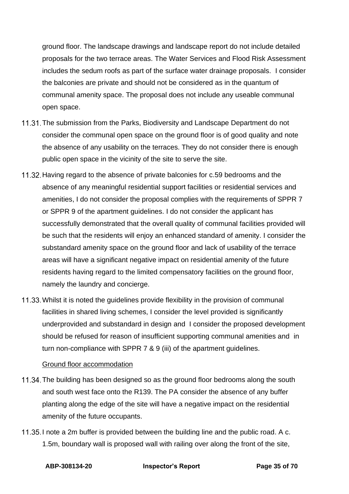ground floor. The landscape drawings and landscape report do not include detailed proposals for the two terrace areas. The Water Services and Flood Risk Assessment includes the sedum roofs as part of the surface water drainage proposals. I consider the balconies are private and should not be considered as in the quantum of communal amenity space. The proposal does not include any useable communal open space.

- 11.31. The submission from the Parks, Biodiversity and Landscape Department do not consider the communal open space on the ground floor is of good quality and note the absence of any usability on the terraces. They do not consider there is enough public open space in the vicinity of the site to serve the site.
- 11.32. Having regard to the absence of private balconies for c.59 bedrooms and the absence of any meaningful residential support facilities or residential services and amenities, I do not consider the proposal complies with the requirements of SPPR 7 or SPPR 9 of the apartment guidelines. I do not consider the applicant has successfully demonstrated that the overall quality of communal facilities provided will be such that the residents will enjoy an enhanced standard of amenity. I consider the substandard amenity space on the ground floor and lack of usability of the terrace areas will have a significant negative impact on residential amenity of the future residents having regard to the limited compensatory facilities on the ground floor, namely the laundry and concierge.
- Whilst it is noted the guidelines provide flexibility in the provision of communal facilities in shared living schemes, I consider the level provided is significantly underprovided and substandard in design and I consider the proposed development should be refused for reason of insufficient supporting communal amenities and in turn non-compliance with SPPR 7 & 9 (iii) of the apartment guidelines.

### Ground floor accommodation

- 11.34. The building has been designed so as the ground floor bedrooms along the south and south west face onto the R139. The PA consider the absence of any buffer planting along the edge of the site will have a negative impact on the residential amenity of the future occupants.
- 11.35. I note a 2m buffer is provided between the building line and the public road. A c. 1.5m, boundary wall is proposed wall with railing over along the front of the site,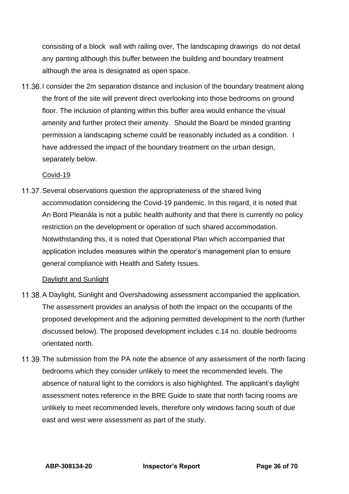consisting of a block wall with railing over, The landscaping drawings do not detail any panting although this buffer between the building and boundary treatment although the area is designated as open space.

11.36. I consider the 2m separation distance and inclusion of the boundary treatment along the front of the site will prevent direct overlooking into those bedrooms on ground floor. The inclusion of planting within this buffer area would enhance the visual amenity and further protect their amenity. Should the Board be minded granting permission a landscaping scheme could be reasonably included as a condition. I have addressed the impact of the boundary treatment on the urban design, separately below.

### Covid-19

11.37. Several observations question the appropriateness of the shared living accommodation considering the Covid-19 pandemic. In this regard, it is noted that An Bord Pleanála is not a public health authority and that there is currently no policy restriction on the development or operation of such shared accommodation. Notwithstanding this, it is noted that Operational Plan which accompanied that application includes measures within the operator's management plan to ensure general compliance with Health and Safety Issues.

### Daylight and Sunlight

- A Daylight, Sunlight and Overshadowing assessment accompanied the application. The assessment provides an analysis of both the impact on the occupants of the proposed development and the adjoining permitted development to the north (further discussed below). The proposed development includes c.14 no. double bedrooms orientated north.
- The submission from the PA note the absence of any assessment of the north facing bedrooms which they consider unlikely to meet the recommended levels. The absence of natural light to the corridors is also highlighted. The applicant's daylight assessment notes reference in the BRE Guide to state that north facing rooms are unlikely to meet recommended levels, therefore only windows facing south of due east and west were assessment as part of the study.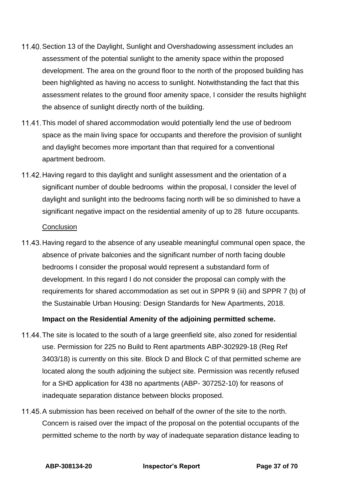- 11.40. Section 13 of the Daylight, Sunlight and Overshadowing assessment includes an assessment of the potential sunlight to the amenity space within the proposed development. The area on the ground floor to the north of the proposed building has been highlighted as having no access to sunlight. Notwithstanding the fact that this assessment relates to the ground floor amenity space, I consider the results highlight the absence of sunlight directly north of the building.
- This model of shared accommodation would potentially lend the use of bedroom space as the main living space for occupants and therefore the provision of sunlight and daylight becomes more important than that required for a conventional apartment bedroom.
- 11.42. Having regard to this daylight and sunlight assessment and the orientation of a significant number of double bedrooms within the proposal, I consider the level of daylight and sunlight into the bedrooms facing north will be so diminished to have a significant negative impact on the residential amenity of up to 28 future occupants.

### **Conclusion**

11.43. Having regard to the absence of any useable meaningful communal open space, the absence of private balconies and the significant number of north facing double bedrooms I consider the proposal would represent a substandard form of development. In this regard I do not consider the proposal can comply with the requirements for shared accommodation as set out in SPPR 9 (iii) and SPPR 7 (b) of the Sustainable Urban Housing: Design Standards for New Apartments, 2018.

# **Impact on the Residential Amenity of the adjoining permitted scheme.**

- 11.44. The site is located to the south of a large greenfield site, also zoned for residential use. Permission for 225 no Build to Rent apartments ABP-302929-18 (Reg Ref 3403/18) is currently on this site. Block D and Block C of that permitted scheme are located along the south adjoining the subject site. Permission was recently refused for a SHD application for 438 no apartments (ABP- 307252-10) for reasons of inadequate separation distance between blocks proposed.
- 11.45. A submission has been received on behalf of the owner of the site to the north. Concern is raised over the impact of the proposal on the potential occupants of the permitted scheme to the north by way of inadequate separation distance leading to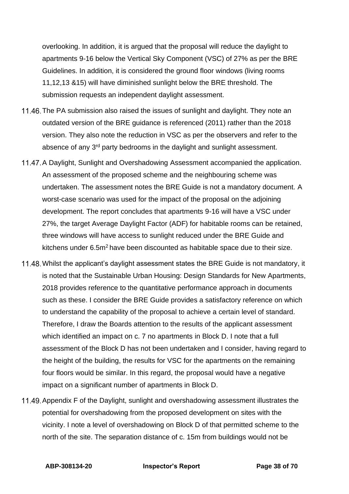overlooking. In addition, it is argued that the proposal will reduce the daylight to apartments 9-16 below the Vertical Sky Component (VSC) of 27% as per the BRE Guidelines. In addition, it is considered the ground floor windows (living rooms 11,12,13 &15) will have diminished sunlight below the BRE threshold. The submission requests an independent daylight assessment.

- 11.46. The PA submission also raised the issues of sunlight and daylight. They note an outdated version of the BRE guidance is referenced (2011) rather than the 2018 version. They also note the reduction in VSC as per the observers and refer to the absence of any 3rd party bedrooms in the daylight and sunlight assessment.
- 11.47. A Daylight, Sunlight and Overshadowing Assessment accompanied the application. An assessment of the proposed scheme and the neighbouring scheme was undertaken. The assessment notes the BRE Guide is not a mandatory document. A worst-case scenario was used for the impact of the proposal on the adjoining development. The report concludes that apartments 9-16 will have a VSC under 27%, the target Average Daylight Factor (ADF) for habitable rooms can be retained, three windows will have access to sunlight reduced under the BRE Guide and kitchens under 6.5m<sup>2</sup> have been discounted as habitable space due to their size.
- Whilst the applicant's daylight assessment states the BRE Guide is not mandatory, it is noted that the Sustainable Urban Housing: Design Standards for New Apartments, 2018 provides reference to the quantitative performance approach in documents such as these. I consider the BRE Guide provides a satisfactory reference on which to understand the capability of the proposal to achieve a certain level of standard. Therefore, I draw the Boards attention to the results of the applicant assessment which identified an impact on c. 7 no apartments in Block D. I note that a full assessment of the Block D has not been undertaken and I consider, having regard to the height of the building, the results for VSC for the apartments on the remaining four floors would be similar. In this regard, the proposal would have a negative impact on a significant number of apartments in Block D.
- 11.49. Appendix F of the Daylight, sunlight and overshadowing assessment illustrates the potential for overshadowing from the proposed development on sites with the vicinity. I note a level of overshadowing on Block D of that permitted scheme to the north of the site. The separation distance of c. 15m from buildings would not be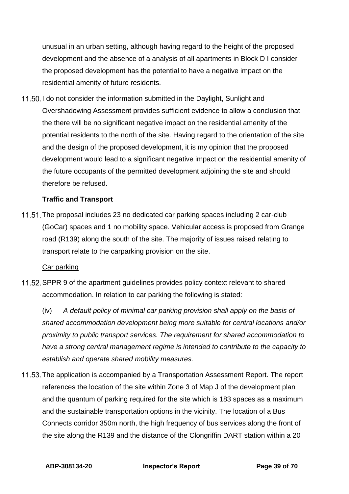unusual in an urban setting, although having regard to the height of the proposed development and the absence of a analysis of all apartments in Block D I consider the proposed development has the potential to have a negative impact on the residential amenity of future residents.

11.50. I do not consider the information submitted in the Daylight, Sunlight and Overshadowing Assessment provides sufficient evidence to allow a conclusion that the there will be no significant negative impact on the residential amenity of the potential residents to the north of the site. Having regard to the orientation of the site and the design of the proposed development, it is my opinion that the proposed development would lead to a significant negative impact on the residential amenity of the future occupants of the permitted development adjoining the site and should therefore be refused.

# **Traffic and Transport**

The proposal includes 23 no dedicated car parking spaces including 2 car-club (GoCar) spaces and 1 no mobility space. Vehicular access is proposed from Grange road (R139) along the south of the site. The majority of issues raised relating to transport relate to the carparking provision on the site.

# Car parking

11.52. SPPR 9 of the apartment guidelines provides policy context relevant to shared accommodation. In relation to car parking the following is stated:

(iv) *A default policy of minimal car parking provision shall apply on the basis of shared accommodation development being more suitable for central locations and/or proximity to public transport services. The requirement for shared accommodation to have a strong central management regime is intended to contribute to the capacity to establish and operate shared mobility measures.*

11.53. The application is accompanied by a Transportation Assessment Report. The report references the location of the site within Zone 3 of Map J of the development plan and the quantum of parking required for the site which is 183 spaces as a maximum and the sustainable transportation options in the vicinity. The location of a Bus Connects corridor 350m north, the high frequency of bus services along the front of the site along the R139 and the distance of the Clongriffin DART station within a 20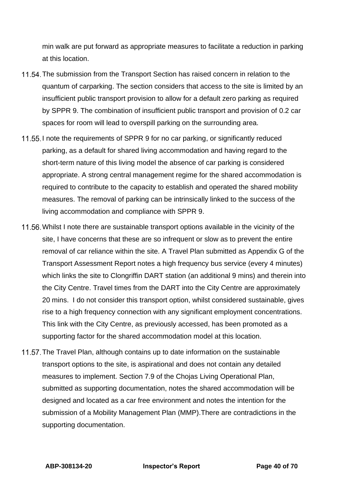min walk are put forward as appropriate measures to facilitate a reduction in parking at this location.

- 11.54. The submission from the Transport Section has raised concern in relation to the quantum of carparking. The section considers that access to the site is limited by an insufficient public transport provision to allow for a default zero parking as required by SPPR 9. The combination of insufficient public transport and provision of 0.2 car spaces for room will lead to overspill parking on the surrounding area.
- 11.55. I note the requirements of SPPR 9 for no car parking, or significantly reduced parking, as a default for shared living accommodation and having regard to the short-term nature of this living model the absence of car parking is considered appropriate. A strong central management regime for the shared accommodation is required to contribute to the capacity to establish and operated the shared mobility measures. The removal of parking can be intrinsically linked to the success of the living accommodation and compliance with SPPR 9.
- Whilst I note there are sustainable transport options available in the vicinity of the site, I have concerns that these are so infrequent or slow as to prevent the entire removal of car reliance within the site. A Travel Plan submitted as Appendix G of the Transport Assessment Report notes a high frequency bus service (every 4 minutes) which links the site to Clongriffin DART station (an additional 9 mins) and therein into the City Centre. Travel times from the DART into the City Centre are approximately 20 mins. I do not consider this transport option, whilst considered sustainable, gives rise to a high frequency connection with any significant employment concentrations. This link with the City Centre, as previously accessed, has been promoted as a supporting factor for the shared accommodation model at this location.
- The Travel Plan, although contains up to date information on the sustainable transport options to the site, is aspirational and does not contain any detailed measures to implement. Section 7.9 of the Chojas Living Operational Plan, submitted as supporting documentation, notes the shared accommodation will be designed and located as a car free environment and notes the intention for the submission of a Mobility Management Plan (MMP).There are contradictions in the supporting documentation.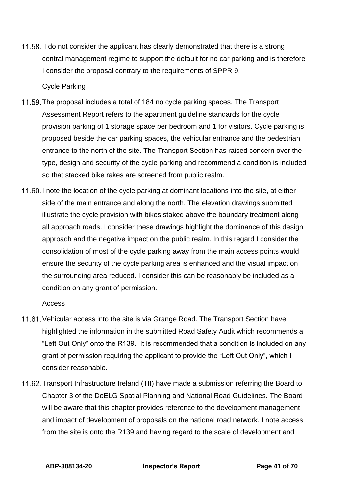11.58. I do not consider the applicant has clearly demonstrated that there is a strong central management regime to support the default for no car parking and is therefore I consider the proposal contrary to the requirements of SPPR 9.

### Cycle Parking

- 11.59. The proposal includes a total of 184 no cycle parking spaces. The Transport Assessment Report refers to the apartment guideline standards for the cycle provision parking of 1 storage space per bedroom and 1 for visitors. Cycle parking is proposed beside the car parking spaces, the vehicular entrance and the pedestrian entrance to the north of the site. The Transport Section has raised concern over the type, design and security of the cycle parking and recommend a condition is included so that stacked bike rakes are screened from public realm.
- 11.60. I note the location of the cycle parking at dominant locations into the site, at either side of the main entrance and along the north. The elevation drawings submitted illustrate the cycle provision with bikes staked above the boundary treatment along all approach roads. I consider these drawings highlight the dominance of this design approach and the negative impact on the public realm. In this regard I consider the consolidation of most of the cycle parking away from the main access points would ensure the security of the cycle parking area is enhanced and the visual impact on the surrounding area reduced. I consider this can be reasonably be included as a condition on any grant of permission.

### Access

- 11.61. Vehicular access into the site is via Grange Road. The Transport Section have highlighted the information in the submitted Road Safety Audit which recommends a "Left Out Only" onto the R139. It is recommended that a condition is included on any grant of permission requiring the applicant to provide the "Left Out Only", which I consider reasonable.
- 11.62. Transport Infrastructure Ireland (TII) have made a submission referring the Board to Chapter 3 of the DoELG Spatial Planning and National Road Guidelines. The Board will be aware that this chapter provides reference to the development management and impact of development of proposals on the national road network. I note access from the site is onto the R139 and having regard to the scale of development and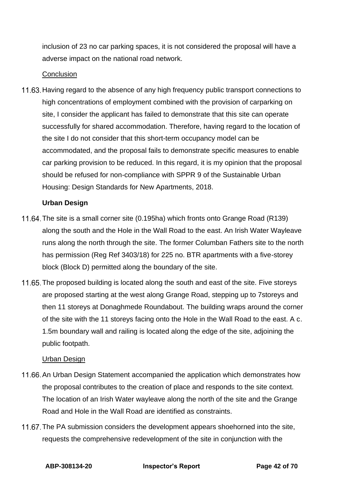inclusion of 23 no car parking spaces, it is not considered the proposal will have a adverse impact on the national road network.

## **Conclusion**

11.63. Having regard to the absence of any high frequency public transport connections to high concentrations of employment combined with the provision of carparking on site, I consider the applicant has failed to demonstrate that this site can operate successfully for shared accommodation. Therefore, having regard to the location of the site I do not consider that this short-term occupancy model can be accommodated, and the proposal fails to demonstrate specific measures to enable car parking provision to be reduced. In this regard, it is my opinion that the proposal should be refused for non-compliance with SPPR 9 of the Sustainable Urban Housing: Design Standards for New Apartments, 2018.

# **Urban Design**

- The site is a small corner site (0.195ha) which fronts onto Grange Road (R139) along the south and the Hole in the Wall Road to the east. An Irish Water Wayleave runs along the north through the site. The former Columban Fathers site to the north has permission (Reg Ref 3403/18) for 225 no. BTR apartments with a five-storey block (Block D) permitted along the boundary of the site.
- 11.65. The proposed building is located along the south and east of the site. Five storeys are proposed starting at the west along Grange Road, stepping up to 7storeys and then 11 storeys at Donaghmede Roundabout. The building wraps around the corner of the site with the 11 storeys facing onto the Hole in the Wall Road to the east. A c. 1.5m boundary wall and railing is located along the edge of the site, adjoining the public footpath.

### Urban Design

- 11.66. An Urban Design Statement accompanied the application which demonstrates how the proposal contributes to the creation of place and responds to the site context. The location of an Irish Water wayleave along the north of the site and the Grange Road and Hole in the Wall Road are identified as constraints.
- 11.67. The PA submission considers the development appears shoehorned into the site, requests the comprehensive redevelopment of the site in conjunction with the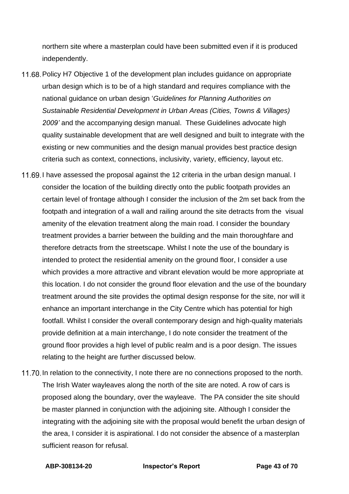northern site where a masterplan could have been submitted even if it is produced independently.

- 11.68. Policy H7 Objective 1 of the development plan includes guidance on appropriate urban design which is to be of a high standard and requires compliance with the national guidance on urban design '*Guidelines for Planning Authorities on Sustainable Residential Development in Urban Areas (Cities, Towns & Villages)*  2009' and the accompanying design manual. These Guidelines advocate high quality sustainable development that are well designed and built to integrate with the existing or new communities and the design manual provides best practice design criteria such as context, connections, inclusivity, variety, efficiency, layout etc.
- 11.69. I have assessed the proposal against the 12 criteria in the urban design manual. I consider the location of the building directly onto the public footpath provides an certain level of frontage although I consider the inclusion of the 2m set back from the footpath and integration of a wall and railing around the site detracts from the visual amenity of the elevation treatment along the main road. I consider the boundary treatment provides a barrier between the building and the main thoroughfare and therefore detracts from the streetscape. Whilst I note the use of the boundary is intended to protect the residential amenity on the ground floor, I consider a use which provides a more attractive and vibrant elevation would be more appropriate at this location. I do not consider the ground floor elevation and the use of the boundary treatment around the site provides the optimal design response for the site, nor will it enhance an important interchange in the City Centre which has potential for high footfall. Whilst I consider the overall contemporary design and high-quality materials provide definition at a main interchange, I do note consider the treatment of the ground floor provides a high level of public realm and is a poor design. The issues relating to the height are further discussed below.
- 11.70. In relation to the connectivity, I note there are no connections proposed to the north. The Irish Water wayleaves along the north of the site are noted. A row of cars is proposed along the boundary, over the wayleave. The PA consider the site should be master planned in conjunction with the adjoining site. Although I consider the integrating with the adjoining site with the proposal would benefit the urban design of the area, I consider it is aspirational. I do not consider the absence of a masterplan sufficient reason for refusal.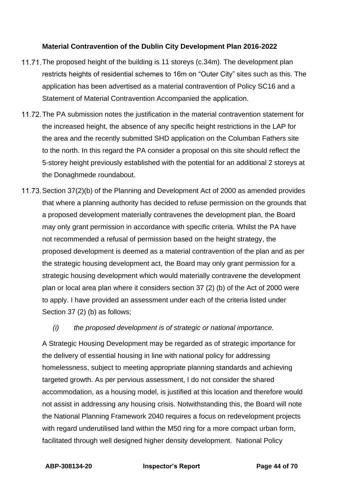## **Material Contravention of the Dublin City Development Plan 2016-2022**

- 11.71. The proposed height of the building is 11 storeys (c.34m). The development plan restricts heights of residential schemes to 16m on "Outer City" sites such as this. The application has been advertised as a material contravention of Policy SC16 and a Statement of Material Contravention Accompanied the application.
- 11.72. The PA submission notes the justification in the material contravention statement for the increased height, the absence of any specific height restrictions in the LAP for the area and the recently submitted SHD application on the Columban Fathers site to the north. In this regard the PA consider a proposal on this site should reflect the 5-storey height previously established with the potential for an additional 2 storeys at the Donaghmede roundabout.
- 11.73. Section 37(2)(b) of the Planning and Development Act of 2000 as amended provides that where a planning authority has decided to refuse permission on the grounds that a proposed development materially contravenes the development plan, the Board may only grant permission in accordance with specific criteria. Whilst the PA have not recommended a refusal of permission based on the height strategy, the proposed development is deemed as a material contravention of the plan and as per the strategic housing development act, the Board may only grant permission for a strategic housing development which would materially contravene the development plan or local area plan where it considers section 37 (2) (b) of the Act of 2000 were to apply. I have provided an assessment under each of the criteria listed under Section 37 (2) (b) as follows;

### *(i) the proposed development is of strategic or national importance.*

A Strategic Housing Development may be regarded as of strategic importance for the delivery of essential housing in line with national policy for addressing homelessness, subject to meeting appropriate planning standards and achieving targeted growth. As per pervious assessment, I do not consider the shared accommodation, as a housing model, is justified at this location and therefore would not assist in addressing any housing crisis. Notwithstanding this, the Board will note the National Planning Framework 2040 requires a focus on redevelopment projects with regard underutilised land within the M50 ring for a more compact urban form, facilitated through well designed higher density development. National Policy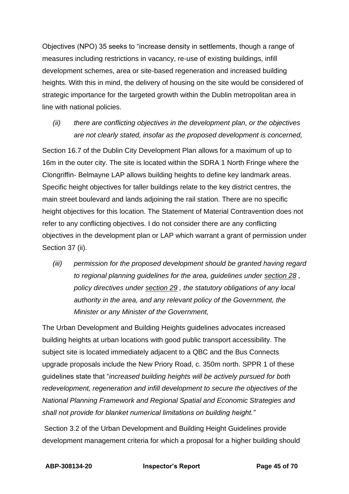Objectives (NPO) 35 seeks to "increase density in settlements, though a range of measures including restrictions in vacancy, re-use of existing buildings, infill development schemes, area or site-based regeneration and increased building heights. With this in mind, the delivery of housing on the site would be considered of strategic importance for the targeted growth within the Dublin metropolitan area in line with national policies.

*(ii) there are conflicting objectives in the development plan, or the objectives are not clearly stated, insofar as the proposed development is concerned,* 

Section 16.7 of the Dublin City Development Plan allows for a maximum of up to 16m in the outer city. The site is located within the SDRA 1 North Fringe where the Clongriffin- Belmayne LAP allows building heights to define key landmark areas. Specific height objectives for taller buildings relate to the key district centres, the main street boulevard and lands adjoining the rail station. There are no specific height objectives for this location. The Statement of Material Contravention does not refer to any conflicting objectives. I do not consider there are any conflicting objectives in the development plan or LAP which warrant a grant of permission under Section 37 (ii).

*(iii) permission for the proposed development should be granted having regard to regional planning guidelines for the area, guidelines under [section 28](http://www.irishstatutebook.ie/2000/en/act/pub/0030/sec0028.html#sec28) , policy directives under [section 29](http://www.irishstatutebook.ie/2000/en/act/pub/0030/sec0029.html#sec29) , the statutory obligations of any local authority in the area, and any relevant policy of the Government, the Minister or any Minister of the Government,* 

The Urban Development and Building Heights guidelines advocates increased building heights at urban locations with good public transport accessibility. The subject site is located immediately adjacent to a QBC and the Bus Connects upgrade proposals include the New Priory Road, c. 350m north. SPPR 1 of these guidelines state that "*increased building heights will be actively pursued for both redevelopment, regeneration and infill development to secure the objectives of the National Planning Framework and Regional Spatial and Economic Strategies and shall not provide for blanket numerical limitations on building height."*

Section 3.2 of the Urban Development and Building Height Guidelines provide development management criteria for which a proposal for a higher building should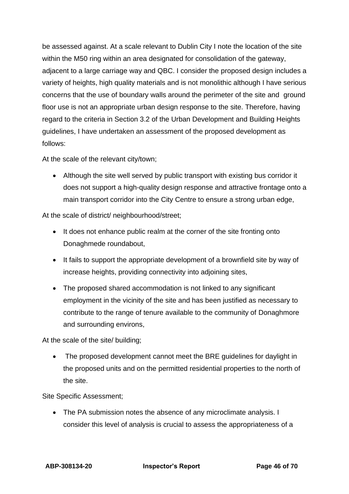be assessed against. At a scale relevant to Dublin City I note the location of the site within the M50 ring within an area designated for consolidation of the gateway, adjacent to a large carriage way and QBC. I consider the proposed design includes a variety of heights, high quality materials and is not monolithic although I have serious concerns that the use of boundary walls around the perimeter of the site and ground floor use is not an appropriate urban design response to the site. Therefore, having regard to the criteria in Section 3.2 of the Urban Development and Building Heights guidelines, I have undertaken an assessment of the proposed development as follows:

At the scale of the relevant city/town;

• Although the site well served by public transport with existing bus corridor it does not support a high-quality design response and attractive frontage onto a main transport corridor into the City Centre to ensure a strong urban edge,

At the scale of district/ neighbourhood/street;

- It does not enhance public realm at the corner of the site fronting onto Donaghmede roundabout,
- It fails to support the appropriate development of a brownfield site by way of increase heights, providing connectivity into adjoining sites,
- The proposed shared accommodation is not linked to any significant employment in the vicinity of the site and has been justified as necessary to contribute to the range of tenure available to the community of Donaghmore and surrounding environs,

At the scale of the site/ building;

• The proposed development cannot meet the BRE guidelines for daylight in the proposed units and on the permitted residential properties to the north of the site.

Site Specific Assessment;

• The PA submission notes the absence of any microclimate analysis. I consider this level of analysis is crucial to assess the appropriateness of a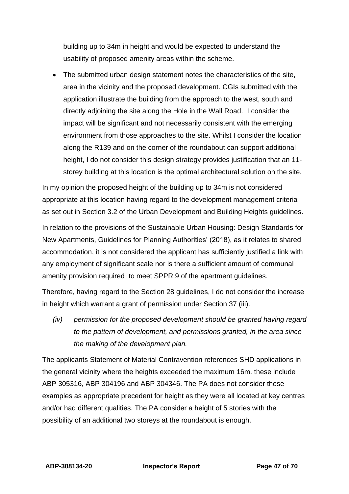building up to 34m in height and would be expected to understand the usability of proposed amenity areas within the scheme.

• The submitted urban design statement notes the characteristics of the site, area in the vicinity and the proposed development. CGIs submitted with the application illustrate the building from the approach to the west, south and directly adjoining the site along the Hole in the Wall Road. I consider the impact will be significant and not necessarily consistent with the emerging environment from those approaches to the site. Whilst I consider the location along the R139 and on the corner of the roundabout can support additional height, I do not consider this design strategy provides justification that an 11 storey building at this location is the optimal architectural solution on the site.

In my opinion the proposed height of the building up to 34m is not considered appropriate at this location having regard to the development management criteria as set out in Section 3.2 of the Urban Development and Building Heights guidelines.

In relation to the provisions of the Sustainable Urban Housing: Design Standards for New Apartments, Guidelines for Planning Authorities' (2018), as it relates to shared accommodation, it is not considered the applicant has sufficiently justified a link with any employment of significant scale nor is there a sufficient amount of communal amenity provision required to meet SPPR 9 of the apartment guidelines.

Therefore, having regard to the Section 28 guidelines, I do not consider the increase in height which warrant a grant of permission under Section 37 (iii).

*(iv) permission for the proposed development should be granted having regard to the pattern of development, and permissions granted, in the area since the making of the development plan.*

The applicants Statement of Material Contravention references SHD applications in the general vicinity where the heights exceeded the maximum 16m. these include ABP 305316, ABP 304196 and ABP 304346. The PA does not consider these examples as appropriate precedent for height as they were all located at key centres and/or had different qualities. The PA consider a height of 5 stories with the possibility of an additional two storeys at the roundabout is enough.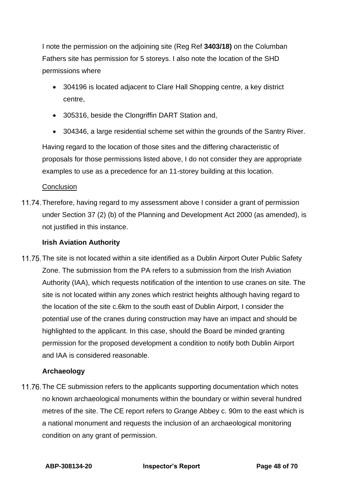I note the permission on the adjoining site (Reg Ref **3403/18)** on the Columban Fathers site has permission for 5 storeys. I also note the location of the SHD permissions where

- 304196 is located adjacent to Clare Hall Shopping centre, a key district centre,
- 305316, beside the Clongriffin DART Station and,
- 304346, a large residential scheme set within the grounds of the Santry River.

Having regard to the location of those sites and the differing characteristic of proposals for those permissions listed above, I do not consider they are appropriate examples to use as a precedence for an 11-storey building at this location.

### **Conclusion**

Therefore, having regard to my assessment above I consider a grant of permission under Section 37 (2) (b) of the Planning and Development Act 2000 (as amended), is not justified in this instance.

### **Irish Aviation Authority**

11.75. The site is not located within a site identified as a Dublin Airport Outer Public Safety Zone. The submission from the PA refers to a submission from the Irish Aviation Authority (IAA), which requests notification of the intention to use cranes on site. The site is not located within any zones which restrict heights although having regard to the location of the site c.6km to the south east of Dublin Airport, I consider the potential use of the cranes during construction may have an impact and should be highlighted to the applicant. In this case, should the Board be minded granting permission for the proposed development a condition to notify both Dublin Airport and IAA is considered reasonable.

# **Archaeology**

11.76. The CE submission refers to the applicants supporting documentation which notes no known archaeological monuments within the boundary or within several hundred metres of the site. The CE report refers to Grange Abbey c. 90m to the east which is a national monument and requests the inclusion of an archaeological monitoring condition on any grant of permission.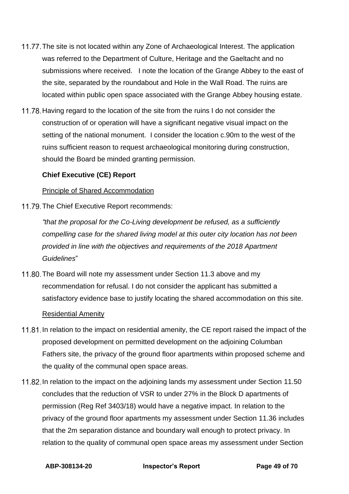- 11.77. The site is not located within any Zone of Archaeological Interest. The application was referred to the Department of Culture, Heritage and the Gaeltacht and no submissions where received. I note the location of the Grange Abbey to the east of the site, separated by the roundabout and Hole in the Wall Road. The ruins are located within public open space associated with the Grange Abbey housing estate.
- 11.78. Having regard to the location of the site from the ruins I do not consider the construction of or operation will have a significant negative visual impact on the setting of the national monument. I consider the location c.90m to the west of the ruins sufficient reason to request archaeological monitoring during construction, should the Board be minded granting permission.

### **Chief Executive (CE) Report**

### Principle of Shared Accommodation

11.79. The Chief Executive Report recommends:

*"that the proposal for the Co-Living development be refused, as a sufficiently compelling case for the shared living model at this outer city location has not been provided in line with the objectives and requirements of the 2018 Apartment Guidelines*"

11.80. The Board will note my assessment under Section 11.3 above and my recommendation for refusal. I do not consider the applicant has submitted a satisfactory evidence base to justify locating the shared accommodation on this site.

### Residential Amenity

- 11.81. In relation to the impact on residential amenity, the CE report raised the impact of the proposed development on permitted development on the adjoining Columban Fathers site, the privacy of the ground floor apartments within proposed scheme and the quality of the communal open space areas.
- 11.82. In relation to the impact on the adjoining lands my assessment under Section 11.50 concludes that the reduction of VSR to under 27% in the Block D apartments of permission (Reg Ref 3403/18) would have a negative impact. In relation to the privacy of the ground floor apartments my assessment under Section 11.36 includes that the 2m separation distance and boundary wall enough to protect privacy. In relation to the quality of communal open space areas my assessment under Section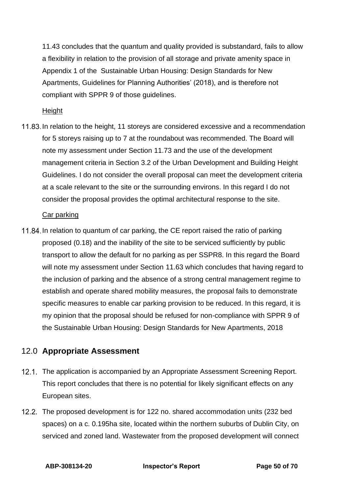11.43 concludes that the quantum and quality provided is substandard, fails to allow a flexibility in relation to the provision of all storage and private amenity space in Appendix 1 of the Sustainable Urban Housing: Design Standards for New Apartments, Guidelines for Planning Authorities' (2018), and is therefore not compliant with SPPR 9 of those guidelines.

**Height** 

11.83. In relation to the height, 11 storeys are considered excessive and a recommendation for 5 storeys raising up to 7 at the roundabout was recommended. The Board will note my assessment under Section 11.73 and the use of the development management criteria in Section 3.2 of the Urban Development and Building Height Guidelines. I do not consider the overall proposal can meet the development criteria at a scale relevant to the site or the surrounding environs. In this regard I do not consider the proposal provides the optimal architectural response to the site.

## Car parking

11.84. In relation to quantum of car parking, the CE report raised the ratio of parking proposed (0.18) and the inability of the site to be serviced sufficiently by public transport to allow the default for no parking as per SSPR8. In this regard the Board will note my assessment under Section 11.63 which concludes that having regard to the inclusion of parking and the absence of a strong central management regime to establish and operate shared mobility measures, the proposal fails to demonstrate specific measures to enable car parking provision to be reduced. In this regard, it is my opinion that the proposal should be refused for non-compliance with SPPR 9 of the Sustainable Urban Housing: Design Standards for New Apartments, 2018

# <span id="page-49-0"></span>12.0 **Appropriate Assessment**

- 12.1. The application is accompanied by an Appropriate Assessment Screening Report. This report concludes that there is no potential for likely significant effects on any European sites.
- 12.2. The proposed development is for 122 no. shared accommodation units (232 bed spaces) on a c. 0.195ha site, located within the northern suburbs of Dublin City, on serviced and zoned land. Wastewater from the proposed development will connect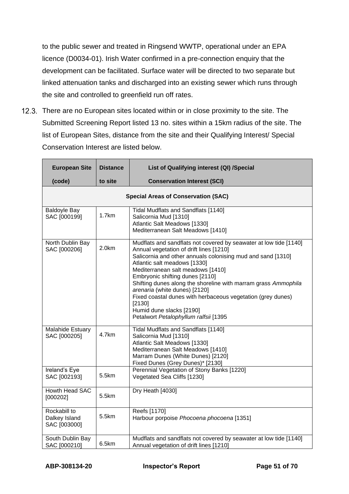to the public sewer and treated in Ringsend WWTP, operational under an EPA licence (D0034-01). Irish Water confirmed in a pre-connection enquiry that the development can be facilitated. Surface water will be directed to two separate but linked attenuation tanks and discharged into an existing sewer which runs through the site and controlled to greenfield run off rates.

12.3. There are no European sites located within or in close proximity to the site. The Submitted Screening Report listed 13 no. sites within a 15km radius of the site. The list of European Sites, distance from the site and their Qualifying Interest/ Special Conservation Interest are listed below.

| <b>European Site</b>                          | <b>Distance</b> | List of Qualifying interest (QI) /Special                                                                                                                                                                                                                                                                                                                                                                                                                                                                                            |
|-----------------------------------------------|-----------------|--------------------------------------------------------------------------------------------------------------------------------------------------------------------------------------------------------------------------------------------------------------------------------------------------------------------------------------------------------------------------------------------------------------------------------------------------------------------------------------------------------------------------------------|
| (code)                                        | to site         | <b>Conservation Interest (SCI)</b>                                                                                                                                                                                                                                                                                                                                                                                                                                                                                                   |
|                                               |                 | <b>Special Areas of Conservation (SAC)</b>                                                                                                                                                                                                                                                                                                                                                                                                                                                                                           |
| <b>Baldoyle Bay</b><br>SAC [000199]           | 1.7km           | Tidal Mudflats and Sandflats [1140]<br>Salicornia Mud [1310]<br>Atlantic Salt Meadows [1330]<br>Mediterranean Salt Meadows [1410]                                                                                                                                                                                                                                                                                                                                                                                                    |
| North Dublin Bay<br>SAC [000206]              | 2.0km           | Mudflats and sandflats not covered by seawater at low tide [1140]<br>Annual vegetation of drift lines [1210]<br>Salicornia and other annuals colonising mud and sand [1310]<br>Atlantic salt meadows [1330]<br>Mediterranean salt meadows [1410]<br>Embryonic shifting dunes [2110]<br>Shifting dunes along the shoreline with marram grass Ammophila<br>arenaria (white dunes) [2120]<br>Fixed coastal dunes with herbaceous vegetation (grey dunes)<br>[2130]<br>Humid dune slacks [2190]<br>Petalwort Petalophyllum ralfsii [1395 |
| <b>Malahide Estuary</b><br>SAC [000205]       | 4.7km           | Tidal Mudflats and Sandflats [1140]<br>Salicornia Mud [1310]<br>Atlantic Salt Meadows [1330]<br>Mediterranean Salt Meadows [1410]<br>Marram Dunes (White Dunes) [2120]<br>Fixed Dunes (Grey Dunes)* [2130]                                                                                                                                                                                                                                                                                                                           |
| Ireland's Eye<br>SAC [002193]                 | 5.5km           | Perennial Vegetation of Stony Banks [1220]<br>Vegetated Sea Cliffs [1230]                                                                                                                                                                                                                                                                                                                                                                                                                                                            |
| Howth Head SAC<br>[000202]                    | 5.5km           | Dry Heath [4030]                                                                                                                                                                                                                                                                                                                                                                                                                                                                                                                     |
| Rockabill to<br>Dalkey Island<br>SAC [003000] | 5.5km           | Reefs [1170]<br>Harbour porpoise Phocoena phocoena [1351]                                                                                                                                                                                                                                                                                                                                                                                                                                                                            |
| South Dublin Bay<br>SAC [000210]              | 6.5km           | Mudflats and sandflats not covered by seawater at low tide [1140]<br>Annual vegetation of drift lines [1210]                                                                                                                                                                                                                                                                                                                                                                                                                         |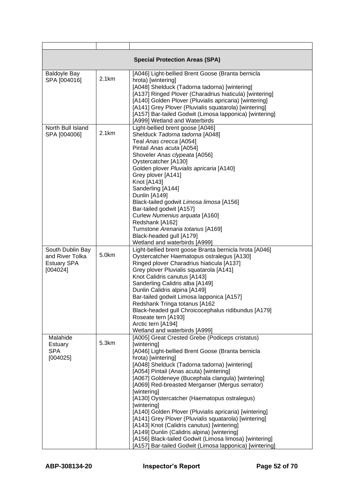|                                                                       |       | <b>Special Protection Areas (SPA)</b>                                                                                                                                                                                                                                                                                                                                                                                                                                                                                                                                                                                                                                                                                                                            |
|-----------------------------------------------------------------------|-------|------------------------------------------------------------------------------------------------------------------------------------------------------------------------------------------------------------------------------------------------------------------------------------------------------------------------------------------------------------------------------------------------------------------------------------------------------------------------------------------------------------------------------------------------------------------------------------------------------------------------------------------------------------------------------------------------------------------------------------------------------------------|
| <b>Baldoyle Bay</b><br>SPA [004016]                                   | 2.1km | [A046] Light-bellied Brent Goose (Branta bernicla<br>hrota) [wintering]<br>[A048] Shelduck (Tadorna tadorna) [wintering]<br>[A137] Ringed Plover (Charadrius hiaticula) [wintering]<br>[A140] Golden Plover (Pluvialis apricaria) [wintering]<br>[A141] Grey Plover (Pluvialis squatarola) [wintering]<br>[A157] Bar-tailed Godwit (Limosa lapponica) [wintering]<br>[A999] Wetland and Waterbirds                                                                                                                                                                                                                                                                                                                                                               |
| North Bull Island<br>SPA [004006]                                     | 2.1km | Light-bellied brent goose [A046]<br>Shelduck Tadorna tadorna [A048]<br>Teal Anas crecca [A054]<br>Pintail Anas acuta [A054]<br>Shoveler Anas clypeata [A056]<br>Oystercatcher [A130]<br>Golden plover Pluvialis apricaria [A140]<br>Grey plover [A141]<br><b>Knot [A143]</b><br>Sanderling [A144]<br>Dunlin [A149]<br>Black-tailed godwit Limosa limosa [A156]<br>Bar-tailed godwit [A157]<br>Curlew Numenius arquata [A160]<br>Redshank [A162]<br>Turnstone Arenaria totanus [A169]<br>Black-headed gull [A179]<br>Wetland and waterbirds [A999]                                                                                                                                                                                                                |
| South Dublin Bay<br>and River Tolka<br><b>Estuary SPA</b><br>[004024] | 5.0km | Light-bellied brent goose Branta bernicla hrota [A046]<br>Oystercatcher Haematopus ostralegus [A130]<br>Ringed plover Charadrius hiaticula [A137]<br>Grey plover Pluvialis squatarola [A141]<br>Knot Calidris canutus [A143]<br>Sanderling Calidris alba [A149]<br>Dunlin Calidris alpina [A149]<br>Bar-tailed godwit Limosa Iapponica [A157]<br>Redshank Tringa totanus [A162<br>Black-headed gull Chroicocephalus ridibundus [A179]<br>Roseate tern [A193]<br>Arctic tern [A194]<br>Wetland and waterbirds [A999]                                                                                                                                                                                                                                              |
| Malahide<br>Estuary<br><b>SPA</b><br>[004025]                         | 5.3km | [A005] Great Crested Grebe (Podiceps cristatus)<br>[wintering]<br>[A046] Light-bellied Brent Goose (Branta bernicla<br>hrota) [wintering]<br>[A048] Shelduck (Tadorna tadorna) [wintering]<br>[A054] Pintail (Anas acuta) [wintering]<br>[A067] Goldeneye (Bucephala clangula) [wintering]<br>[A069] Red-breasted Merganser (Mergus serrator)<br>[wintering]<br>[A130] Oystercatcher (Haematopus ostralegus)<br>[wintering]<br>[A140] Golden Plover (Pluvialis apricaria) [wintering]<br>[A141] Grey Plover (Pluvialis squatarola) [wintering]<br>[A143] Knot (Calidris canutus) [wintering]<br>[A149] Dunlin (Calidris alpina) [wintering]<br>[A156] Black-tailed Godwit (Limosa limosa) [wintering]<br>[A157] Bar-tailed Godwit (Limosa lapponica) [wintering] |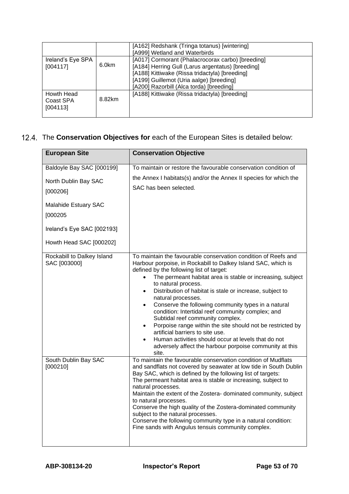|                                     |        | [A162] Redshank (Tringa totanus) [wintering]<br>[A999] Wetland and Waterbirds                                                                                                                                                                    |
|-------------------------------------|--------|--------------------------------------------------------------------------------------------------------------------------------------------------------------------------------------------------------------------------------------------------|
| Ireland's Eye SPA<br>[004117]       | 6.0km  | [A017] Cormorant (Phalacrocorax carbo) [breeding]<br>[A184] Herring Gull (Larus argentatus) [breeding]<br>[A188] Kittiwake (Rissa tridactyla) [breeding]<br>[A199] Guillemot (Uria aalge) [breeding]<br>[A200] Razorbill (Alca torda) [breeding] |
| Howth Head<br>Coast SPA<br>[004113] | 8.82km | [A188] Kittiwake (Rissa tridactyla) [breeding]                                                                                                                                                                                                   |

# 12.4. The **Conservation Objectives for** each of the European Sites is detailed below:

| <b>European Site</b>                                                                                                                                      | <b>Conservation Objective</b>                                                                                                                                                                                                                                                                                                                                                                                                                                                                                                                                                                                                                                                                                                                                                                    |
|-----------------------------------------------------------------------------------------------------------------------------------------------------------|--------------------------------------------------------------------------------------------------------------------------------------------------------------------------------------------------------------------------------------------------------------------------------------------------------------------------------------------------------------------------------------------------------------------------------------------------------------------------------------------------------------------------------------------------------------------------------------------------------------------------------------------------------------------------------------------------------------------------------------------------------------------------------------------------|
| Baldoyle Bay SAC [000199]<br>North Dublin Bay SAC<br>[000206]<br>Malahide Estuary SAC<br>[000205<br>Ireland's Eye SAC [002193]<br>Howth Head SAC [000202] | To maintain or restore the favourable conservation condition of<br>the Annex I habitats(s) and/or the Annex II species for which the<br>SAC has been selected.                                                                                                                                                                                                                                                                                                                                                                                                                                                                                                                                                                                                                                   |
| Rockabill to Dalkey Island<br>SAC [003000]                                                                                                                | To maintain the favourable conservation condition of Reefs and<br>Harbour porpoise, in Rockabill to Dalkey Island SAC, which is<br>defined by the following list of target:<br>The permeant habitat area is stable or increasing, subject<br>$\bullet$<br>to natural process.<br>Distribution of habitat is stale or increase, subject to<br>$\bullet$<br>natural processes.<br>Conserve the following community types in a natural<br>$\bullet$<br>condition: Intertidal reef community complex; and<br>Subtidal reef community complex.<br>Porpoise range within the site should not be restricted by<br>$\bullet$<br>artificial barriers to site use.<br>Human activities should occur at levels that do not<br>$\bullet$<br>adversely affect the harbour porpoise community at this<br>site. |
| South Dublin Bay SAC<br>[000210]                                                                                                                          | To maintain the favourable conservation condition of Mudflats<br>and sandflats not covered by seawater at low tide in South Dublin<br>Bay SAC, which is defined by the following list of targets:<br>The permeant habitat area is stable or increasing, subject to<br>natural processes.<br>Maintain the extent of the Zostera- dominated community, subject<br>to natural processes.<br>Conserve the high quality of the Zostera-dominated community<br>subject to the natural processes.<br>Conserve the following community type in a natural condition:<br>Fine sands with Angulus tensuis community complex.                                                                                                                                                                                |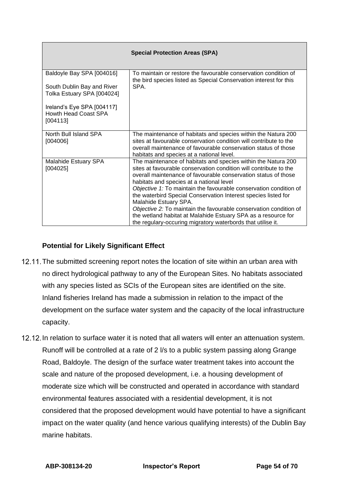|                                                                                                                     | <b>Special Protection Areas (SPA)</b>                                                                                                                                                                                                             |
|---------------------------------------------------------------------------------------------------------------------|---------------------------------------------------------------------------------------------------------------------------------------------------------------------------------------------------------------------------------------------------|
| Baldoyle Bay SPA [004016]<br>South Dublin Bay and River<br>Tolka Estuary SPA [004024]<br>Ireland's Eye SPA [004117] | To maintain or restore the favourable conservation condition of<br>the bird species listed as Special Conservation interest for this<br>SPA.                                                                                                      |
| <b>Howth Head Coast SPA</b><br>[004113]                                                                             |                                                                                                                                                                                                                                                   |
| North Bull Island SPA<br>[004006]                                                                                   | The maintenance of habitats and species within the Natura 200<br>sites at favourable conservation condition will contribute to the<br>overall maintenance of favourable conservation status of those<br>habitats and species at a national level. |
| Malahide Estuary SPA<br>[004025]                                                                                    | The maintenance of habitats and species within the Natura 200<br>sites at favourable conservation condition will contribute to the<br>overall maintenance of favourable conservation status of those<br>habitats and species at a national level  |
|                                                                                                                     | Objective 1: To maintain the favourable conservation condition of<br>the waterbird Special Conservation Interest species listed for<br>Malahide Estuary SPA.                                                                                      |
|                                                                                                                     | Objective 2: To maintain the favourable conservation condition of<br>the wetland habitat at Malahide Estuary SPA as a resource for<br>the regulary-occuring migratory waterbords that utilise it.                                                 |

# **Potential for Likely Significant Effect**

- 12.11. The submitted screening report notes the location of site within an urban area with no direct hydrological pathway to any of the European Sites. No habitats associated with any species listed as SCIs of the European sites are identified on the site. Inland fisheries Ireland has made a submission in relation to the impact of the development on the surface water system and the capacity of the local infrastructure capacity.
- 12.12. In relation to surface water it is noted that all waters will enter an attenuation system. Runoff will be controlled at a rate of 2 l/s to a public system passing along Grange Road, Baldoyle. The design of the surface water treatment takes into account the scale and nature of the proposed development, i.e. a housing development of moderate size which will be constructed and operated in accordance with standard environmental features associated with a residential development, it is not considered that the proposed development would have potential to have a significant impact on the water quality (and hence various qualifying interests) of the Dublin Bay marine habitats.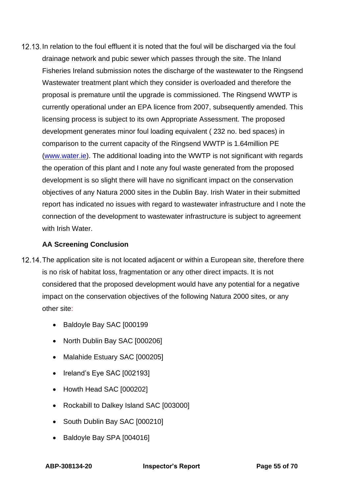12.13. In relation to the foul effluent it is noted that the foul will be discharged via the foul drainage network and pubic sewer which passes through the site. The Inland Fisheries Ireland submission notes the discharge of the wastewater to the Ringsend Wastewater treatment plant which they consider is overloaded and therefore the proposal is premature until the upgrade is commissioned. The Ringsend WWTP is currently operational under an EPA licence from 2007, subsequently amended. This licensing process is subject to its own Appropriate Assessment. The proposed development generates minor foul loading equivalent ( 232 no. bed spaces) in comparison to the current capacity of the Ringsend WWTP is 1.64million PE [\(www.water.ie\)](http://www.water.ie/). The additional loading into the WWTP is not significant with regards the operation of this plant and I note any foul waste generated from the proposed development is so slight there will have no significant impact on the conservation objectives of any Natura 2000 sites in the Dublin Bay. Irish Water in their submitted report has indicated no issues with regard to wastewater infrastructure and I note the connection of the development to wastewater infrastructure is subject to agreement with Irish Water.

# **AA Screening Conclusion**

- 12.14. The application site is not located adjacent or within a European site, therefore there is no risk of habitat loss, fragmentation or any other direct impacts. It is not considered that the proposed development would have any potential for a negative impact on the conservation objectives of the following Natura 2000 sites, or any other site:
	- Baldoyle Bay SAC [000199
	- North Dublin Bay SAC [000206]
	- Malahide Estuary SAC [000205]
	- Ireland's Eye SAC [002193]
	- Howth Head SAC [000202]
	- Rockabill to Dalkey Island SAC [003000]
	- South Dublin Bay SAC [000210]
	- Baldoyle Bay SPA [004016]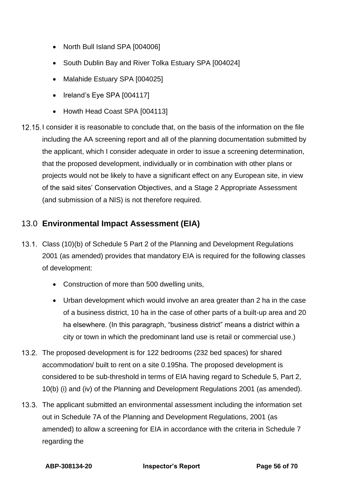- North Bull Island SPA [004006]
- South Dublin Bay and River Tolka Estuary SPA [004024]
- Malahide Estuary SPA [004025]
- Ireland's Eve SPA [004117]
- Howth Head Coast SPA [004113]
- 12.15. I consider it is reasonable to conclude that, on the basis of the information on the file including the AA screening report and all of the planning documentation submitted by the applicant, which I consider adequate in order to issue a screening determination, that the proposed development, individually or in combination with other plans or projects would not be likely to have a significant effect on any European site, in view of the said sites' Conservation Objectives, and a Stage 2 Appropriate Assessment (and submission of a NIS) is not therefore required.

# <span id="page-55-0"></span>13.0 **Environmental Impact Assessment (EIA)**

- 13.1. Class (10)(b) of Schedule 5 Part 2 of the Planning and Development Regulations 2001 (as amended) provides that mandatory EIA is required for the following classes of development:
	- Construction of more than 500 dwelling units,
	- Urban development which would involve an area greater than 2 ha in the case of a business district, 10 ha in the case of other parts of a built-up area and 20 ha elsewhere. (In this paragraph, "business district" means a district within a city or town in which the predominant land use is retail or commercial use.)
- 13.2. The proposed development is for 122 bedrooms (232 bed spaces) for shared accommodation/ built to rent on a site 0.195ha. The proposed development is considered to be sub-threshold in terms of EIA having regard to Schedule 5, Part 2, 10(b) (i) and (iv) of the Planning and Development Regulations 2001 (as amended).
- The applicant submitted an environmental assessment including the information set out in Schedule 7A of the Planning and Development Regulations, 2001 (as amended) to allow a screening for EIA in accordance with the criteria in Schedule 7 regarding the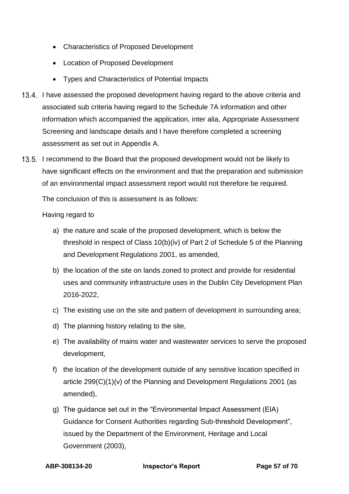- Characteristics of Proposed Development
- Location of Proposed Development
- Types and Characteristics of Potential Impacts
- 13.4. I have assessed the proposed development having regard to the above criteria and associated sub criteria having regard to the Schedule 7A information and other information which accompanied the application, inter alia, Appropriate Assessment Screening and landscape details and I have therefore completed a screening assessment as set out in Appendix A.
- 13.5. I recommend to the Board that the proposed development would not be likely to have significant effects on the environment and that the preparation and submission of an environmental impact assessment report would not therefore be required.

The conclusion of this is assessment is as follows:

Having regard to

- a) the nature and scale of the proposed development, which is below the threshold in respect of Class 10(b)(iv) of Part 2 of Schedule 5 of the Planning and Development Regulations 2001, as amended,
- b) the location of the site on lands zoned to protect and provide for residential uses and community infrastructure uses in the Dublin City Development Plan 2016-2022,
- c) The existing use on the site and pattern of development in surrounding area;
- d) The planning history relating to the site,
- e) The availability of mains water and wastewater services to serve the proposed development,
- f) the location of the development outside of any sensitive location specified in article 299(C)(1)(v) of the Planning and Development Regulations 2001 (as amended),
- g) The guidance set out in the "Environmental Impact Assessment (EIA) Guidance for Consent Authorities regarding Sub-threshold Development", issued by the Department of the Environment, Heritage and Local Government (2003),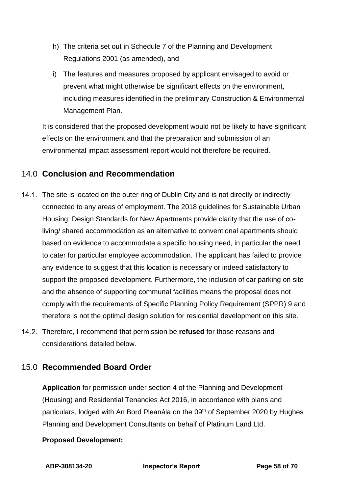- h) The criteria set out in Schedule 7 of the Planning and Development Regulations 2001 (as amended), and
- i) The features and measures proposed by applicant envisaged to avoid or prevent what might otherwise be significant effects on the environment, including measures identified in the preliminary Construction & Environmental Management Plan.

It is considered that the proposed development would not be likely to have significant effects on the environment and that the preparation and submission of an environmental impact assessment report would not therefore be required.

# <span id="page-57-0"></span>14.0 **Conclusion and Recommendation**

- 14.1. The site is located on the outer ring of Dublin City and is not directly or indirectly connected to any areas of employment. The 2018 guidelines for Sustainable Urban Housing: Design Standards for New Apartments provide clarity that the use of coliving/ shared accommodation as an alternative to conventional apartments should based on evidence to accommodate a specific housing need, in particular the need to cater for particular employee accommodation. The applicant has failed to provide any evidence to suggest that this location is necessary or indeed satisfactory to support the proposed development. Furthermore, the inclusion of car parking on site and the absence of supporting communal facilities means the proposal does not comply with the requirements of Specific Planning Policy Requirement (SPPR) 9 and therefore is not the optimal design solution for residential development on this site.
- Therefore, I recommend that permission be **refused** for those reasons and considerations detailed below.

# <span id="page-57-1"></span>15.0 **Recommended Board Order**

**Application** for permission under section 4 of the Planning and Development (Housing) and Residential Tenancies Act 2016, in accordance with plans and particulars, lodged with An Bord Pleanála on the 09<sup>th</sup> of September 2020 by Hughes Planning and Development Consultants on behalf of Platinum Land Ltd.

# **Proposed Development:**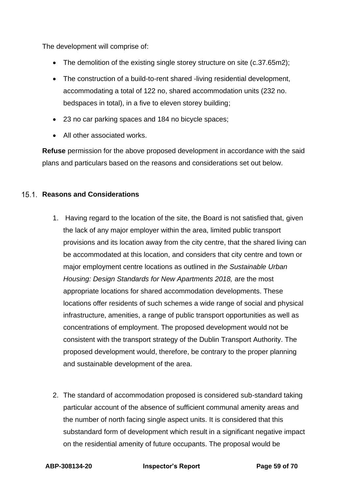The development will comprise of:

- The demolition of the existing single storey structure on site (c.37.65m2);
- The construction of a build-to-rent shared -living residential development, accommodating a total of 122 no, shared accommodation units (232 no. bedspaces in total), in a five to eleven storey building;
- 23 no car parking spaces and 184 no bicycle spaces;
- All other associated works.

**Refuse** permission for the above proposed development in accordance with the said plans and particulars based on the reasons and considerations set out below.

# **15.1. Reasons and Considerations**

- 1. Having regard to the location of the site, the Board is not satisfied that, given the lack of any major employer within the area, limited public transport provisions and its location away from the city centre, that the shared living can be accommodated at this location, and considers that city centre and town or major employment centre locations as outlined in *the Sustainable Urban Housing: Design Standards for New Apartments 2018, are the most* appropriate locations for shared accommodation developments. These locations offer residents of such schemes a wide range of social and physical infrastructure, amenities, a range of public transport opportunities as well as concentrations of employment. The proposed development would not be consistent with the transport strategy of the Dublin Transport Authority. The proposed development would, therefore, be contrary to the proper planning and sustainable development of the area.
- 2. The standard of accommodation proposed is considered sub-standard taking particular account of the absence of sufficient communal amenity areas and the number of north facing single aspect units. It is considered that this substandard form of development which result in a significant negative impact on the residential amenity of future occupants. The proposal would be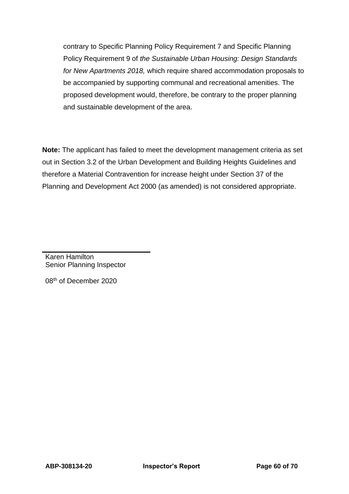contrary to Specific Planning Policy Requirement 7 and Specific Planning Policy Requirement 9 of *the Sustainable Urban Housing: Design Standards for New Apartments 2018,* which require shared accommodation proposals to be accompanied by supporting communal and recreational amenities. The proposed development would, therefore, be contrary to the proper planning and sustainable development of the area.

**Note:** The applicant has failed to meet the development management criteria as set out in Section 3.2 of the Urban Development and Building Heights Guidelines and therefore a Material Contravention for increase height under Section 37 of the Planning and Development Act 2000 (as amended) is not considered appropriate.

Karen Hamilton Senior Planning Inspector

08<sup>th</sup> of December 2020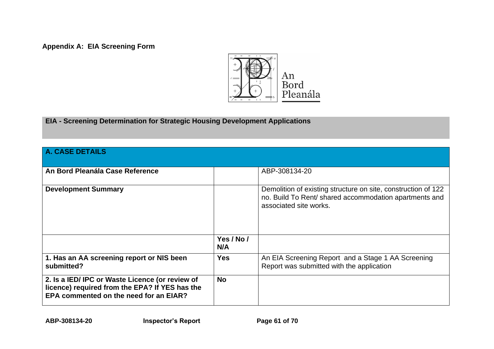# **Appendix A: EIA Screening Form**



**EIA - Screening Determination for Strategic Housing Development Applications**

| A. CASE DETAILS                                                                                                                            |            |                                                                                                                                                   |
|--------------------------------------------------------------------------------------------------------------------------------------------|------------|---------------------------------------------------------------------------------------------------------------------------------------------------|
| An Bord Pleanála Case Reference                                                                                                            |            | ABP-308134-20                                                                                                                                     |
| <b>Development Summary</b>                                                                                                                 | Yes / No / | Demolition of existing structure on site, construction of 122<br>no. Build To Rent/ shared accommodation apartments and<br>associated site works. |
|                                                                                                                                            | N/A        |                                                                                                                                                   |
| 1. Has an AA screening report or NIS been<br>submitted?                                                                                    | <b>Yes</b> | An EIA Screening Report and a Stage 1 AA Screening<br>Report was submitted with the application                                                   |
| 2. Is a IED/IPC or Waste Licence (or review of<br>licence) required from the EPA? If YES has the<br>EPA commented on the need for an EIAR? | <b>No</b>  |                                                                                                                                                   |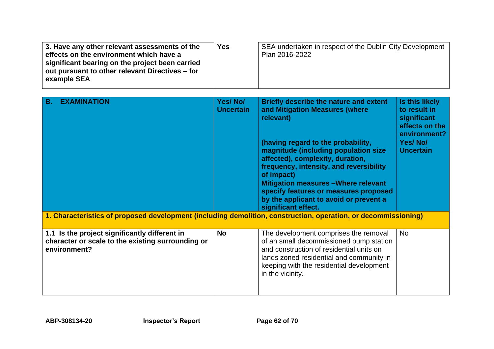| <b>EXAMINATION</b><br><b>B.</b><br>1. Characteristics of proposed development (including demolition, construction, operation, or decommissioning) | Yes/No/<br><b>Uncertain</b> | <b>Briefly describe the nature and extent</b><br>and Mitigation Measures (where<br>relevant)<br>(having regard to the probability,<br>magnitude (including population size<br>affected), complexity, duration,<br>frequency, intensity, and reversibility<br>of impact)<br><b>Mitigation measures - Where relevant</b><br>specify features or measures proposed<br>by the applicant to avoid or prevent a<br>significant effect. | Is this likely<br>to result in<br>significant<br>effects on the<br>environment?<br>Yes/No/<br><b>Uncertain</b> |
|---------------------------------------------------------------------------------------------------------------------------------------------------|-----------------------------|----------------------------------------------------------------------------------------------------------------------------------------------------------------------------------------------------------------------------------------------------------------------------------------------------------------------------------------------------------------------------------------------------------------------------------|----------------------------------------------------------------------------------------------------------------|
| 1.1 Is the project significantly different in<br>character or scale to the existing surrounding or<br>environment?                                | <b>No</b>                   | The development comprises the removal<br>of an small decommissioned pump station<br>and construction of residential units on<br>lands zoned residential and community in<br>keeping with the residential development<br>in the vicinity.                                                                                                                                                                                         | <b>No</b>                                                                                                      |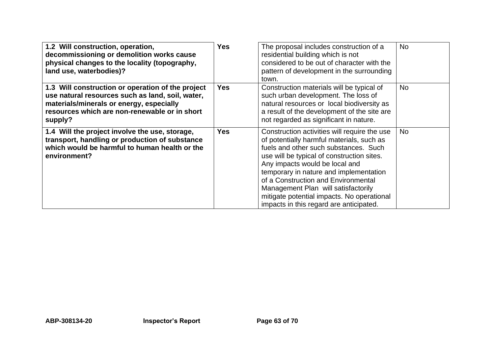| 1.2 Will construction, operation,<br>decommissioning or demolition works cause<br>physical changes to the locality (topography,<br>land use, waterbodies)?                                                    | <b>Yes</b> | The proposal includes construction of a<br>residential building which is not<br>considered to be out of character with the<br>pattern of development in the surrounding<br>town.                                                                                                                                                                                                                                                    | <b>No</b> |
|---------------------------------------------------------------------------------------------------------------------------------------------------------------------------------------------------------------|------------|-------------------------------------------------------------------------------------------------------------------------------------------------------------------------------------------------------------------------------------------------------------------------------------------------------------------------------------------------------------------------------------------------------------------------------------|-----------|
| 1.3 Will construction or operation of the project<br>use natural resources such as land, soil, water,<br>materials/minerals or energy, especially<br>resources which are non-renewable or in short<br>supply? | <b>Yes</b> | Construction materials will be typical of<br>such urban development. The loss of<br>natural resources or local biodiversity as<br>a result of the development of the site are<br>not regarded as significant in nature.                                                                                                                                                                                                             | <b>No</b> |
| 1.4 Will the project involve the use, storage,<br>transport, handling or production of substance<br>which would be harmful to human health or the<br>environment?                                             | <b>Yes</b> | Construction activities will require the use<br>of potentially harmful materials, such as<br>fuels and other such substances. Such<br>use will be typical of construction sites.<br>Any impacts would be local and<br>temporary in nature and implementation<br>of a Construction and Environmental<br>Management Plan will satisfactorily<br>mitigate potential impacts. No operational<br>impacts in this regard are anticipated. | <b>No</b> |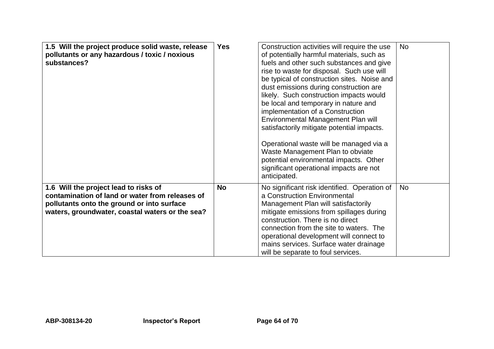| 1.5 Will the project produce solid waste, release<br>pollutants or any hazardous / toxic / noxious<br>substances?                                                                         | <b>Yes</b> | Construction activities will require the use<br>of potentially harmful materials, such as<br>fuels and other such substances and give<br>rise to waste for disposal. Such use will<br>be typical of construction sites. Noise and<br>dust emissions during construction are<br>likely. Such construction impacts would<br>be local and temporary in nature and<br>implementation of a Construction<br>Environmental Management Plan will<br>satisfactorily mitigate potential impacts.<br>Operational waste will be managed via a<br>Waste Management Plan to obviate<br>potential environmental impacts. Other<br>significant operational impacts are not<br>anticipated. | No        |
|-------------------------------------------------------------------------------------------------------------------------------------------------------------------------------------------|------------|----------------------------------------------------------------------------------------------------------------------------------------------------------------------------------------------------------------------------------------------------------------------------------------------------------------------------------------------------------------------------------------------------------------------------------------------------------------------------------------------------------------------------------------------------------------------------------------------------------------------------------------------------------------------------|-----------|
| 1.6 Will the project lead to risks of<br>contamination of land or water from releases of<br>pollutants onto the ground or into surface<br>waters, groundwater, coastal waters or the sea? | <b>No</b>  | No significant risk identified. Operation of<br>a Construction Environmental<br>Management Plan will satisfactorily<br>mitigate emissions from spillages during<br>construction. There is no direct<br>connection from the site to waters. The<br>operational development will connect to<br>mains services. Surface water drainage<br>will be separate to foul services.                                                                                                                                                                                                                                                                                                  | <b>No</b> |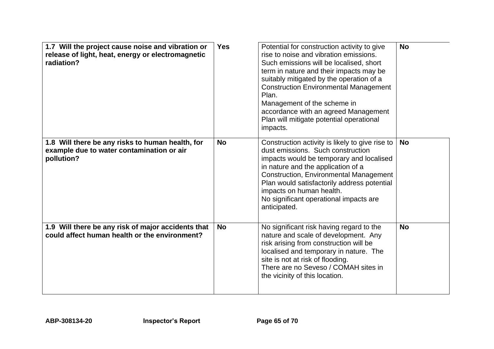| 1.7 Will the project cause noise and vibration or<br>release of light, heat, energy or electromagnetic<br>radiation? | <b>Yes</b> | Potential for construction activity to give<br>rise to noise and vibration emissions.<br>Such emissions will be localised, short<br>term in nature and their impacts may be<br>suitably mitigated by the operation of a<br><b>Construction Environmental Management</b><br>Plan.<br>Management of the scheme in<br>accordance with an agreed Management<br>Plan will mitigate potential operational<br>impacts. | <b>No</b> |
|----------------------------------------------------------------------------------------------------------------------|------------|-----------------------------------------------------------------------------------------------------------------------------------------------------------------------------------------------------------------------------------------------------------------------------------------------------------------------------------------------------------------------------------------------------------------|-----------|
| 1.8 Will there be any risks to human health, for<br>example due to water contamination or air<br>pollution?          | <b>No</b>  | Construction activity is likely to give rise to<br>dust emissions. Such construction<br>impacts would be temporary and localised<br>in nature and the application of a<br><b>Construction, Environmental Management</b><br>Plan would satisfactorily address potential<br>impacts on human health.<br>No significant operational impacts are<br>anticipated.                                                    | <b>No</b> |
| 1.9 Will there be any risk of major accidents that<br>could affect human health or the environment?                  | <b>No</b>  | No significant risk having regard to the<br>nature and scale of development. Any<br>risk arising from construction will be<br>localised and temporary in nature. The<br>site is not at risk of flooding.<br>There are no Seveso / COMAH sites in<br>the vicinity of this location.                                                                                                                              | <b>No</b> |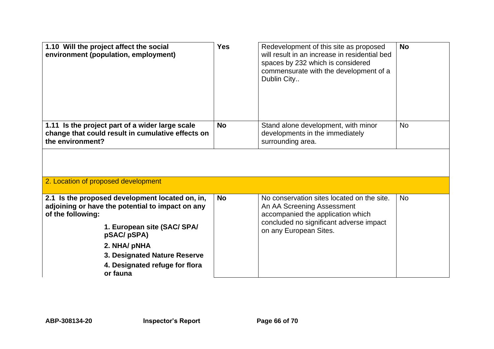| 1.10 Will the project affect the social<br>environment (population, employment)                                                                                        | <b>Yes</b> | Redevelopment of this site as proposed<br>will result in an increase in residential bed<br>spaces by 232 which is considered<br>commensurate with the development of a<br>Dublin City | <b>No</b> |
|------------------------------------------------------------------------------------------------------------------------------------------------------------------------|------------|---------------------------------------------------------------------------------------------------------------------------------------------------------------------------------------|-----------|
| 1.11 Is the project part of a wider large scale<br>change that could result in cumulative effects on<br>the environment?                                               | <b>No</b>  | Stand alone development, with minor<br>developments in the immediately<br>surrounding area.                                                                                           | <b>No</b> |
|                                                                                                                                                                        |            |                                                                                                                                                                                       |           |
| 2. Location of proposed development                                                                                                                                    |            |                                                                                                                                                                                       |           |
| 2.1 Is the proposed development located on, in,<br>adjoining or have the potential to impact on any<br>of the following:<br>1. European site (SAC/ SPA/<br>pSAC/ pSPA) | <b>No</b>  | No conservation sites located on the site.<br>An AA Screening Assessment<br>accompanied the application which<br>concluded no significant adverse impact<br>on any European Sites.    | <b>No</b> |
| 2. NHA/ pNHA                                                                                                                                                           |            |                                                                                                                                                                                       |           |
| 3. Designated Nature Reserve                                                                                                                                           |            |                                                                                                                                                                                       |           |
| 4. Designated refuge for flora<br>or fauna                                                                                                                             |            |                                                                                                                                                                                       |           |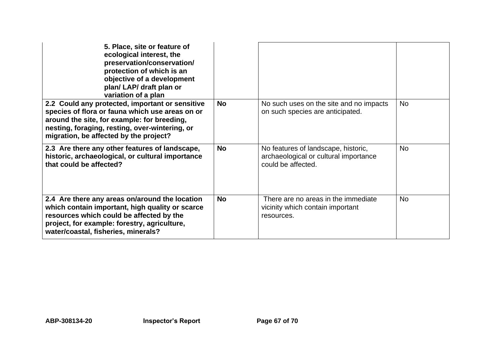| 5. Place, site or feature of<br>ecological interest, the<br>preservation/conservation/<br>protection of which is an<br>objective of a development<br>plan/ LAP/ draft plan or<br>variation of a plan                                          |           |                                                                                                    |           |
|-----------------------------------------------------------------------------------------------------------------------------------------------------------------------------------------------------------------------------------------------|-----------|----------------------------------------------------------------------------------------------------|-----------|
| 2.2 Could any protected, important or sensitive<br>species of flora or fauna which use areas on or<br>around the site, for example: for breeding,<br>nesting, foraging, resting, over-wintering, or<br>migration, be affected by the project? | <b>No</b> | No such uses on the site and no impacts<br>on such species are anticipated.                        | <b>No</b> |
| 2.3 Are there any other features of landscape,<br>historic, archaeological, or cultural importance<br>that could be affected?                                                                                                                 | <b>No</b> | No features of landscape, historic,<br>archaeological or cultural importance<br>could be affected. | <b>No</b> |
| 2.4 Are there any areas on/around the location<br>which contain important, high quality or scarce<br>resources which could be affected by the<br>project, for example: forestry, agriculture,<br>water/coastal, fisheries, minerals?          | <b>No</b> | There are no areas in the immediate<br>vicinity which contain important<br>resources.              | <b>No</b> |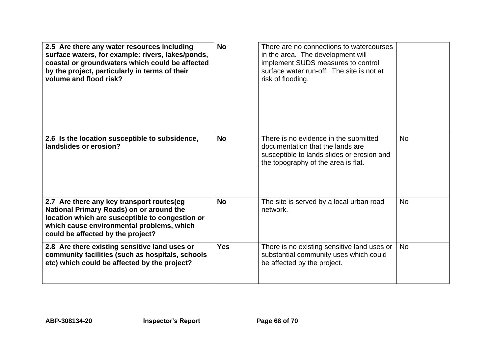| 2.5 Are there any water resources including<br>surface waters, for example: rivers, lakes/ponds,<br>coastal or groundwaters which could be affected<br>by the project, particularly in terms of their<br>volume and flood risk? | <b>No</b>  | There are no connections to watercourses<br>in the area. The development will<br>implement SUDS measures to control<br>surface water run-off. The site is not at<br>risk of flooding. |           |
|---------------------------------------------------------------------------------------------------------------------------------------------------------------------------------------------------------------------------------|------------|---------------------------------------------------------------------------------------------------------------------------------------------------------------------------------------|-----------|
| 2.6 Is the location susceptible to subsidence,<br>landslides or erosion?                                                                                                                                                        | <b>No</b>  | There is no evidence in the submitted<br>documentation that the lands are<br>susceptible to lands slides or erosion and<br>the topography of the area is flat.                        | <b>No</b> |
| 2.7 Are there any key transport routes(eg<br>National Primary Roads) on or around the<br>location which are susceptible to congestion or<br>which cause environmental problems, which<br>could be affected by the project?      | <b>No</b>  | The site is served by a local urban road<br>network.                                                                                                                                  | <b>No</b> |
| 2.8 Are there existing sensitive land uses or<br>community facilities (such as hospitals, schools<br>etc) which could be affected by the project?                                                                               | <b>Yes</b> | There is no existing sensitive land uses or<br>substantial community uses which could<br>be affected by the project.                                                                  | <b>No</b> |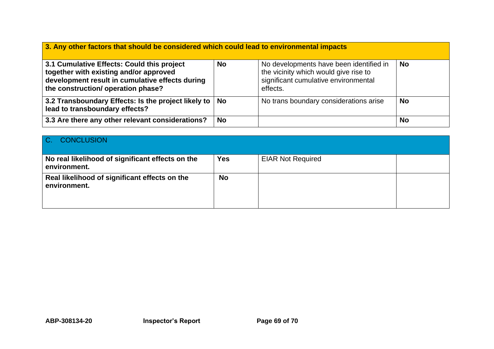| 3. Any other factors that should be considered which could lead to environmental impacts                                                                                      |           |                                                                                                                                      |           |
|-------------------------------------------------------------------------------------------------------------------------------------------------------------------------------|-----------|--------------------------------------------------------------------------------------------------------------------------------------|-----------|
| 3.1 Cumulative Effects: Could this project<br>together with existing and/or approved<br>development result in cumulative effects during<br>the construction/ operation phase? | <b>No</b> | No developments have been identified in<br>the vicinity which would give rise to<br>significant cumulative environmental<br>effects. | <b>No</b> |
| 3.2 Transboundary Effects: Is the project likely to   No<br>lead to transboundary effects?                                                                                    |           | No trans boundary considerations arise                                                                                               | <b>No</b> |
| 3.3 Are there any other relevant considerations?                                                                                                                              | <b>No</b> |                                                                                                                                      | <b>No</b> |

| $ C_{n} $<br><b>CONCLUSION</b>                                   |            |                          |  |
|------------------------------------------------------------------|------------|--------------------------|--|
| No real likelihood of significant effects on the<br>environment. | <b>Yes</b> | <b>EIAR Not Required</b> |  |
| Real likelihood of significant effects on the<br>environment.    | <b>No</b>  |                          |  |